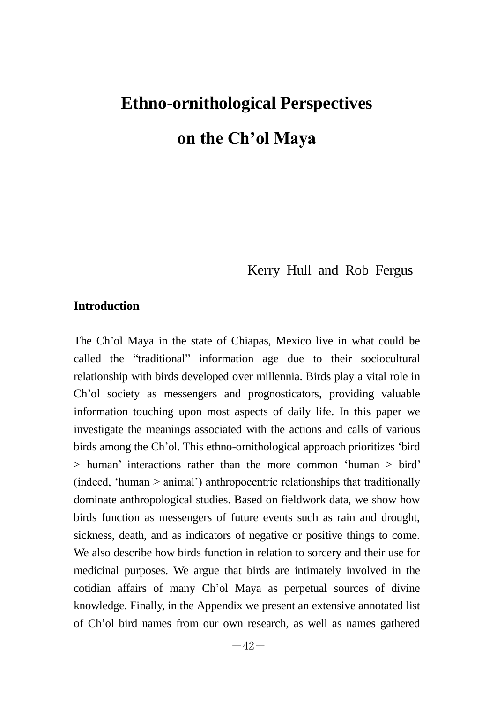# **Ethno-ornithological Perspectives on the Ch'ol Maya**

Kerry Hull and Rob Fergus

# **Introduction**

The Ch'ol Maya in the state of Chiapas, Mexico live in what could be called the "traditional" information age due to their sociocultural relationship with birds developed over millennia. Birds play a vital role in Ch'ol society as messengers and prognosticators, providing valuable information touching upon most aspects of daily life. In this paper we investigate the meanings associated with the actions and calls of various birds among the Ch'ol. This ethno-ornithological approach prioritizes ‗bird  $>$  human' interactions rather than the more common 'human  $>$  bird'  $(indeed, 'human > animal')$  anthropocentric relationships that traditionally dominate anthropological studies. Based on fieldwork data, we show how birds function as messengers of future events such as rain and drought, sickness, death, and as indicators of negative or positive things to come. We also describe how birds function in relation to sorcery and their use for medicinal purposes. We argue that birds are intimately involved in the cotidian affairs of many Ch'ol Maya as perpetual sources of divine knowledge. Finally, in the Appendix we present an extensive annotated list of Ch'ol bird names from our own research, as well as names gathered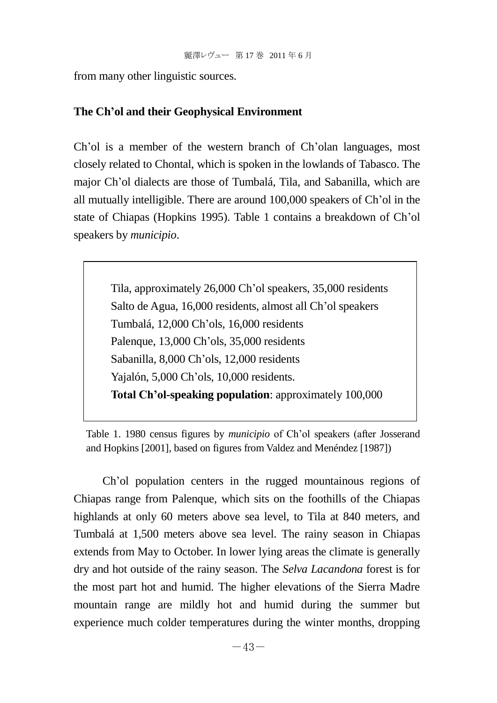from many other linguistic sources.

## **The Ch'ol and their Geophysical Environment**

Ch'ol is a member of the western branch of Ch'olan languages, most closely related to Chontal, which is spoken in the lowlands of Tabasco. The major Ch'ol dialects are those of Tumbalá, Tila, and Sabanilla, which are all mutually intelligible. There are around 100,000 speakers of Ch'ol in the state of Chiapas (Hopkins 1995). Table 1 contains a breakdown of Ch'ol speakers by *municipio*.

> Tila, approximately 26,000 Ch'ol speakers, 35,000 residents Salto de Agua, 16,000 residents, almost all Ch'ol speakers Tumbalá, 12,000 Ch'ols, 16,000 residents Palenque, 13,000 Ch'ols, 35,000 residents Sabanilla, 8,000 Ch'ols, 12,000 residents Yajalón, 5,000 Ch'ols, 10,000 residents. **Total Ch'ol-speaking population**: approximately 100,000

Table 1. 1980 census figures by *municipio* of Ch'ol speakers (after Josserand and Hopkins [2001], based on figures from Valdez and Menéndez [1987])

Ch'ol population centers in the rugged mountainous regions of Chiapas range from Palenque, which sits on the foothills of the Chiapas highlands at only 60 meters above sea level, to Tila at 840 meters, and Tumbalá at 1,500 meters above sea level. The rainy season in Chiapas extends from May to October. In lower lying areas the climate is generally dry and hot outside of the rainy season. The *Selva Lacandona* forest is for the most part hot and humid. The higher elevations of the Sierra Madre mountain range are mildly hot and humid during the summer but experience much colder temperatures during the winter months, dropping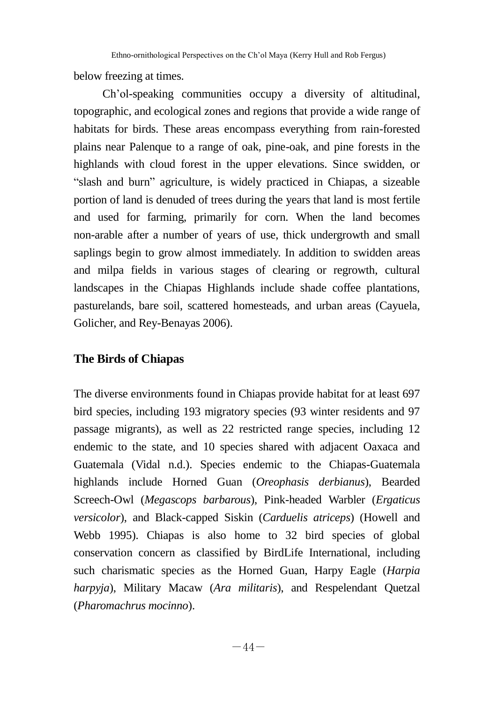below freezing at times.

Ch'ol-speaking communities occupy a diversity of altitudinal, topographic, and ecological zones and regions that provide a wide range of habitats for birds. These areas encompass everything from rain-forested plains near Palenque to a range of oak, pine-oak, and pine forests in the highlands with cloud forest in the upper elevations. Since swidden, or ―slash and burn‖ agriculture, is widely practiced in Chiapas, a sizeable portion of land is denuded of trees during the years that land is most fertile and used for farming, primarily for corn. When the land becomes non-arable after a number of years of use, thick undergrowth and small saplings begin to grow almost immediately. In addition to swidden areas and milpa fields in various stages of clearing or regrowth, cultural landscapes in the Chiapas Highlands include shade coffee plantations, pasturelands, bare soil, scattered homesteads, and urban areas (Cayuela, Golicher, and Rey-Benayas 2006).

# **The Birds of Chiapas**

The diverse environments found in Chiapas provide habitat for at least 697 bird species, including 193 migratory species (93 winter residents and 97 passage migrants), as well as 22 restricted range species, including 12 endemic to the state, and 10 species shared with adjacent Oaxaca and Guatemala (Vidal n.d.). Species endemic to the Chiapas-Guatemala highlands include Horned Guan (*Oreophasis derbianus*), Bearded Screech-Owl (*Megascops barbarous*), Pink-headed Warbler (*Ergaticus versicolor*), and Black-capped Siskin (*Carduelis atriceps*) (Howell and Webb 1995). Chiapas is also home to 32 bird species of global conservation concern as classified by BirdLife International, including such charismatic species as the Horned Guan, Harpy Eagle (*Harpia harpyja*), Military Macaw (*Ara militaris*), and Respelendant Quetzal (*Pharomachrus mocinno*).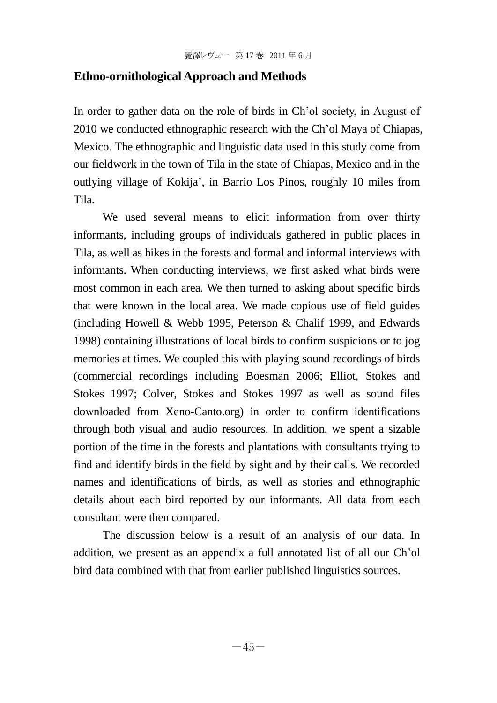## **Ethno-ornithological Approach and Methods**

In order to gather data on the role of birds in Ch'ol society, in August of 2010 we conducted ethnographic research with the Ch'ol Maya of Chiapas, Mexico. The ethnographic and linguistic data used in this study come from our fieldwork in the town of Tila in the state of Chiapas, Mexico and in the outlying village of Kokija', in Barrio Los Pinos, roughly 10 miles from Tila.

We used several means to elicit information from over thirty informants, including groups of individuals gathered in public places in Tila, as well as hikes in the forests and formal and informal interviews with informants. When conducting interviews, we first asked what birds were most common in each area. We then turned to asking about specific birds that were known in the local area. We made copious use of field guides (including Howell & Webb 1995, Peterson & Chalif 1999, and Edwards 1998) containing illustrations of local birds to confirm suspicions or to jog memories at times. We coupled this with playing sound recordings of birds (commercial recordings including Boesman 2006; Elliot, Stokes and Stokes 1997; Colver, Stokes and Stokes 1997 as well as sound files downloaded from Xeno-Canto.org) in order to confirm identifications through both visual and audio resources. In addition, we spent a sizable portion of the time in the forests and plantations with consultants trying to find and identify birds in the field by sight and by their calls. We recorded names and identifications of birds, as well as stories and ethnographic details about each bird reported by our informants. All data from each consultant were then compared.

The discussion below is a result of an analysis of our data. In addition, we present as an appendix a full annotated list of all our Ch'ol bird data combined with that from earlier published linguistics sources.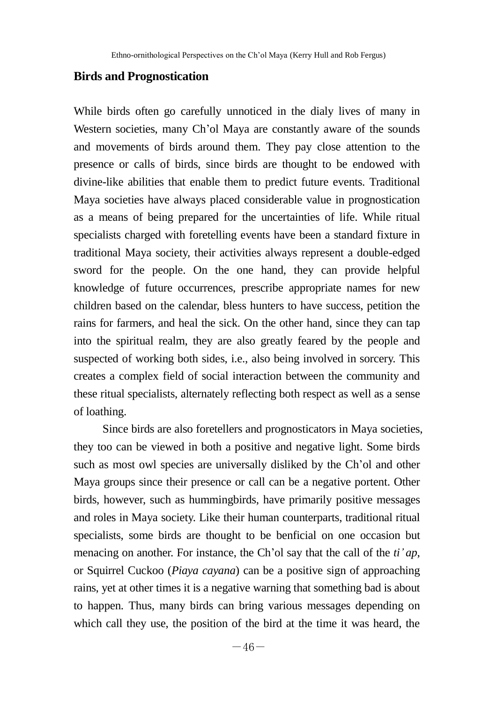## **Birds and Prognostication**

While birds often go carefully unnoticed in the dialy lives of many in Western societies, many Ch'ol Maya are constantly aware of the sounds and movements of birds around them. They pay close attention to the presence or calls of birds, since birds are thought to be endowed with divine-like abilities that enable them to predict future events. Traditional Maya societies have always placed considerable value in prognostication as a means of being prepared for the uncertainties of life. While ritual specialists charged with foretelling events have been a standard fixture in traditional Maya society, their activities always represent a double-edged sword for the people. On the one hand, they can provide helpful knowledge of future occurrences, prescribe appropriate names for new children based on the calendar, bless hunters to have success, petition the rains for farmers, and heal the sick. On the other hand, since they can tap into the spiritual realm, they are also greatly feared by the people and suspected of working both sides, i.e., also being involved in sorcery. This creates a complex field of social interaction between the community and these ritual specialists, alternately reflecting both respect as well as a sense of loathing.

Since birds are also foretellers and prognosticators in Maya societies, they too can be viewed in both a positive and negative light. Some birds such as most owl species are universally disliked by the Ch'ol and other Maya groups since their presence or call can be a negative portent. Other birds, however, such as hummingbirds, have primarily positive messages and roles in Maya society. Like their human counterparts, traditional ritual specialists, some birds are thought to be benficial on one occasion but menacing on another. For instance, the Ch'ol say that the call of the *ti' ap*, or Squirrel Cuckoo (*Piaya cayana*) can be a positive sign of approaching rains, yet at other times it is a negative warning that something bad is about to happen. Thus, many birds can bring various messages depending on which call they use, the position of the bird at the time it was heard, the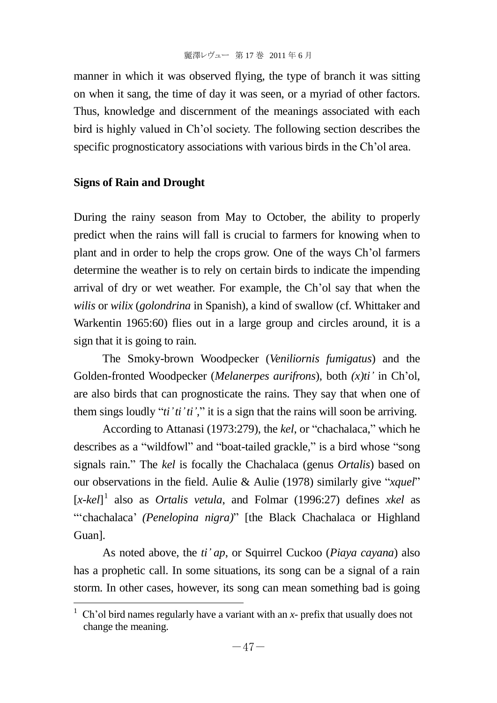manner in which it was observed flying, the type of branch it was sitting on when it sang, the time of day it was seen, or a myriad of other factors. Thus, knowledge and discernment of the meanings associated with each bird is highly valued in Ch'ol society. The following section describes the specific prognosticatory associations with various birds in the Ch'ol area.

## **Signs of Rain and Drought**

l

During the rainy season from May to October, the ability to properly predict when the rains will fall is crucial to farmers for knowing when to plant and in order to help the crops grow. One of the ways Ch'ol farmers determine the weather is to rely on certain birds to indicate the impending arrival of dry or wet weather. For example, the Ch'ol say that when the *wilis* or *wilix* (*golondrina* in Spanish), a kind of swallow (cf. Whittaker and Warkentin 1965:60) flies out in a large group and circles around, it is a sign that it is going to rain.

The Smoky-brown Woodpecker (*Veniliornis fumigatus*) and the Golden-fronted Woodpecker (*Melanerpes aurifrons*), both *(x)ti'* in Ch'ol, are also birds that can prognosticate the rains. They say that when one of them sings loudly " $ti'ti'i'$ ", it is a sign that the rains will soon be arriving.

According to Attanasi (1973:279), the *kel*, or "chachalaca," which he describes as a "wildfowl" and "boat-tailed grackle," is a bird whose "song signals rain.‖ The *kel* is focally the Chachalaca (genus *Ortalis*) based on our observations in the field. Aulie & Aulie (1978) similarly give "*xquel*" [*x-kel*] 1 also as *Ortalis vetula*, and Folmar (1996:27) defines *xkel* as ―‗chachalaca' *(Penelopina nigra)*‖ [the Black Chachalaca or Highland Guan].

As noted above, the *ti' ap*, or Squirrel Cuckoo (*Piaya cayana*) also has a prophetic call. In some situations, its song can be a signal of a rain storm. In other cases, however, its song can mean something bad is going

<sup>&</sup>lt;sup>1</sup> Ch'ol bird names regularly have a variant with an *- prefix that usually does not* change the meaning.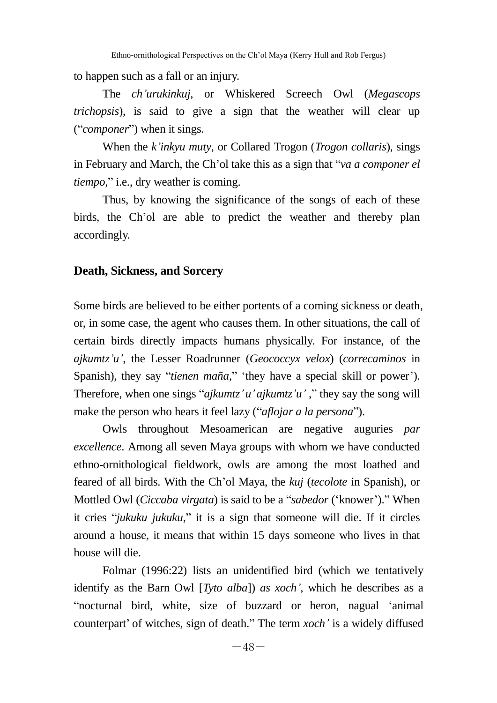to happen such as a fall or an injury.

The *ch'urukinkuj*, or Whiskered Screech Owl (*Megascops trichopsis*), is said to give a sign that the weather will clear up (―*componer*‖) when it sings.

When the *k'inkyu muty*, or Collared Trogon (*Trogon collaris*), sings in February and March, the Ch'ol take this as a sign that "*va a componer el tiempo*," i.e., dry weather is coming.

Thus, by knowing the significance of the songs of each of these birds, the Ch'ol are able to predict the weather and thereby plan accordingly.

### **Death, Sickness, and Sorcery**

Some birds are believed to be either portents of a coming sickness or death, or, in some case, the agent who causes them. In other situations, the call of certain birds directly impacts humans physically. For instance, of the *ajkumtz'u'*, the Lesser Roadrunner (*Geococcyx velox*) (*correcaminos* in Spanish), they say "tienen maña," 'they have a special skill or power'). Therefore, when one sings "*ajkumtz' u' ajkumtz'u'*," they say the song will make the person who hears it feel lazy ("*aflojar a la persona*").

Owls throughout Mesoamerican are negative auguries *par excellence*. Among all seven Maya groups with whom we have conducted ethno-ornithological fieldwork, owls are among the most loathed and feared of all birds. With the Ch'ol Maya, the *kuj* (*tecolote* in Spanish), or Mottled Owl (*Ciccaba virgata*) is said to be a "*sabedor* ('knower')." When it cries "*jukuku jukuku*," it is a sign that someone will die. If it circles around a house, it means that within 15 days someone who lives in that house will die.

Folmar (1996:22) lists an unidentified bird (which we tentatively identify as the Barn Owl [*Tyto alba*]) *as xoch'*, which he describes as a ―nocturnal bird, white, size of buzzard or heron, nagual ‗animal counterpart' of witches, sign of death." The term *xoch*' is a widely diffused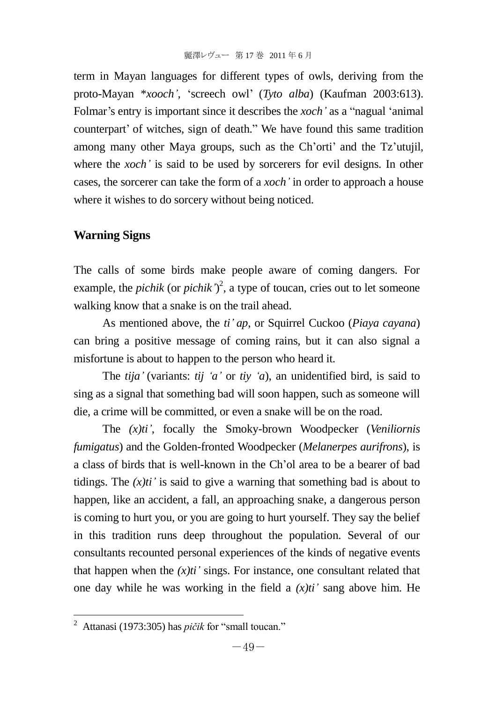term in Mayan languages for different types of owls, deriving from the proto-Mayan \**xooch'*, ‗screech owl' (*Tyto alba*) (Kaufman 2003:613). Folmar's entry is important since it describes the *xoch'* as a "nagual 'animal" counterpart' of witches, sign of death." We have found this same tradition among many other Maya groups, such as the Ch'orti' and the Tz'utujil, where the *xoch'* is said to be used by sorcerers for evil designs. In other cases, the sorcerer can take the form of a *xoch'* in order to approach a house where it wishes to do sorcery without being noticed.

## **Warning Signs**

The calls of some birds make people aware of coming dangers. For example, the *pichik* (or *pichik'*)<sup>2</sup>, a type of toucan, cries out to let someone walking know that a snake is on the trail ahead.

As mentioned above, the *ti' ap*, or Squirrel Cuckoo (*Piaya cayana*) can bring a positive message of coming rains, but it can also signal a misfortune is about to happen to the person who heard it.

The *tija'* (variants: *tij 'a'* or *tiy 'a*), an unidentified bird, is said to sing as a signal that something bad will soon happen, such as someone will die, a crime will be committed, or even a snake will be on the road.

The *(x)ti'*, focally the Smoky-brown Woodpecker (*Veniliornis fumigatus*) and the Golden-fronted Woodpecker (*Melanerpes aurifrons*), is a class of birds that is well-known in the Ch'ol area to be a bearer of bad tidings. The  $(x)$ ti' is said to give a warning that something bad is about to happen, like an accident, a fall, an approaching snake, a dangerous person is coming to hurt you, or you are going to hurt yourself. They say the belief in this tradition runs deep throughout the population. Several of our consultants recounted personal experiences of the kinds of negative events that happen when the  $(x)$ ti' sings. For instance, one consultant related that one day while he was working in the field a  $(x)$ ti' sang above him. He

l

<sup>&</sup>lt;sup>2</sup> Attanasi (1973:305) has *pičik* for "small toucan."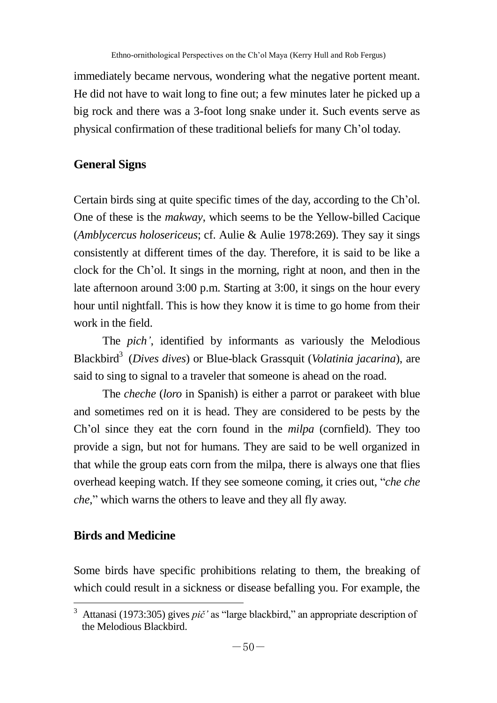immediately became nervous, wondering what the negative portent meant. He did not have to wait long to fine out; a few minutes later he picked up a big rock and there was a 3-foot long snake under it. Such events serve as physical confirmation of these traditional beliefs for many Ch'ol today.

# **General Signs**

Certain birds sing at quite specific times of the day, according to the Ch'ol. One of these is the *makway*, which seems to be the Yellow-billed Cacique (*Amblycercus holosericeus*; cf. Aulie & Aulie 1978:269). They say it sings consistently at different times of the day. Therefore, it is said to be like a clock for the Ch'ol. It sings in the morning, right at noon, and then in the late afternoon around 3:00 p.m. Starting at 3:00, it sings on the hour every hour until nightfall. This is how they know it is time to go home from their work in the field.

The *pich'*, identified by informants as variously the Melodious Blackbird<sup>3</sup> (*Dives dives*) or Blue-black Grassquit (*Volatinia jacarina*), are said to sing to signal to a traveler that someone is ahead on the road.

The *cheche* (*loro* in Spanish) is either a parrot or parakeet with blue and sometimes red on it is head. They are considered to be pests by the Ch'ol since they eat the corn found in the *milpa* (cornfield). They too provide a sign, but not for humans. They are said to be well organized in that while the group eats corn from the milpa, there is always one that flies overhead keeping watch. If they see someone coming, it cries out, "*che che che*," which warns the others to leave and they all fly away.

# **Birds and Medicine**

Some birds have specific prohibitions relating to them, the breaking of which could result in a sickness or disease befalling you. For example, the

l  $3$  Attanasi (1973:305) gives  $pi\check{c}$  as "large blackbird," an appropriate description of the Melodious Blackbird.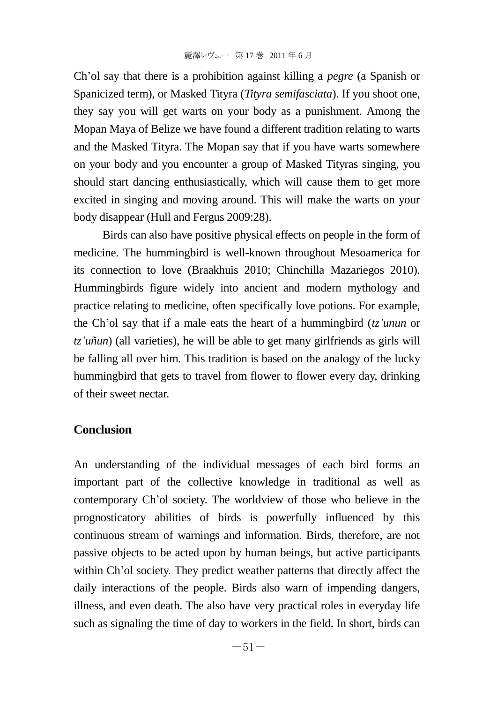Ch'ol say that there is a prohibition against killing a *pegre* (a Spanish or Spanicized term), or Masked Tityra (*Tityra semifasciata*). If you shoot one, they say you will get warts on your body as a punishment. Among the Mopan Maya of Belize we have found a different tradition relating to warts and the Masked Tityra. The Mopan say that if you have warts somewhere on your body and you encounter a group of Masked Tityras singing, you should start dancing enthusiastically, which will cause them to get more excited in singing and moving around. This will make the warts on your body disappear (Hull and Fergus 2009:28).

Birds can also have positive physical effects on people in the form of medicine. The hummingbird is well-known throughout Mesoamerica for its connection to love (Braakhuis 2010; Chinchilla Mazariegos 2010). Hummingbirds figure widely into ancient and modern mythology and practice relating to medicine, often specifically love potions. For example, the Ch'ol say that if a male eats the heart of a hummingbird (*tz'unun* or *tz'uñun*) (all varieties), he will be able to get many girlfriends as girls will be falling all over him. This tradition is based on the analogy of the lucky hummingbird that gets to travel from flower to flower every day, drinking of their sweet nectar.

#### **Conclusion**

An understanding of the individual messages of each bird forms an important part of the collective knowledge in traditional as well as contemporary Ch'ol society. The worldview of those who believe in the prognosticatory abilities of birds is powerfully influenced by this continuous stream of warnings and information. Birds, therefore, are not passive objects to be acted upon by human beings, but active participants within Ch'ol society. They predict weather patterns that directly affect the daily interactions of the people. Birds also warn of impending dangers, illness, and even death. The also have very practical roles in everyday life such as signaling the time of day to workers in the field. In short, birds can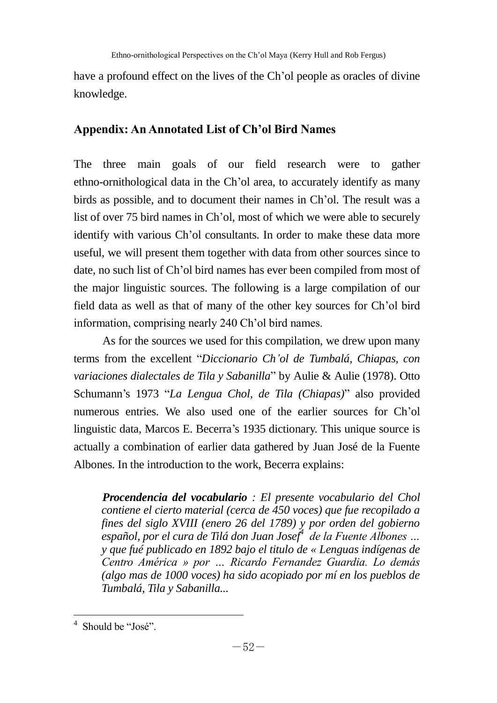have a profound effect on the lives of the Ch'ol people as oracles of divine knowledge.

# **Appendix: An Annotated List of Ch'ol Bird Names**

The three main goals of our field research were to gather ethno-ornithological data in the Ch'ol area, to accurately identify as many birds as possible, and to document their names in Ch'ol. The result was a list of over 75 bird names in Ch'ol, most of which we were able to securely identify with various Ch'ol consultants. In order to make these data more useful, we will present them together with data from other sources since to date, no such list of Ch'ol bird names has ever been compiled from most of the major linguistic sources. The following is a large compilation of our field data as well as that of many of the other key sources for Ch'ol bird information, comprising nearly 240 Ch'ol bird names.

As for the sources we used for this compilation, we drew upon many terms from the excellent ―*Diccionario Ch'ol de Tumbalá, Chiapas, con variaciones dialectales de Tila y Sabanilla*" by Aulie & Aulie (1978). Otto Schumann's 1973 "La Lengua Chol, de Tila (Chiapas)" also provided numerous entries. We also used one of the earlier sources for Ch'ol linguistic data, Marcos E. Becerra's 1935 dictionary. This unique source is actually a combination of earlier data gathered by Juan José de la Fuente Albones. In the introduction to the work, Becerra explains:

*Procendencia del vocabulario : El presente vocabulario del Chol contiene el cierto material (cerca de 450 voces) que fue recopilado a fines del siglo XVIII (enero 26 del 1789) y por orden del gobierno español, por el cura de Tilá don Juan Josef<sup>4</sup> de la Fuente Albones … y que fué publicado en 1892 bajo el titulo de « Lenguas indígenas de Centro América » por … Ricardo Fernandez Guardia. Lo demás (algo mas de 1000 voces) ha sido acopiado por mí en los pueblos de Tumbalá, Tila y Sabanilla...*

l

<sup>&</sup>lt;sup>4</sup> Should be "José".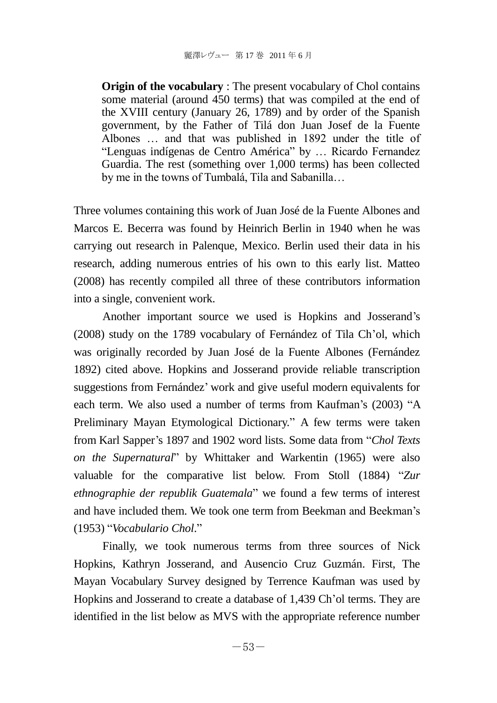**Origin of the vocabulary** : The present vocabulary of Chol contains some material (around 450 terms) that was compiled at the end of the XVIII century (January 26, 1789) and by order of the Spanish government, by the Father of Tilá don Juan Josef de la Fuente Albones … and that was published in 1892 under the title of ―Lenguas indígenas de Centro América‖ by … Ricardo Fernandez Guardia. The rest (something over 1,000 terms) has been collected by me in the towns of Tumbalá, Tila and Sabanilla…

Three volumes containing this work of Juan José de la Fuente Albones and Marcos E. Becerra was found by Heinrich Berlin in 1940 when he was carrying out research in Palenque, Mexico. Berlin used their data in his research, adding numerous entries of his own to this early list. Matteo (2008) has recently compiled all three of these contributors information into a single, convenient work.

Another important source we used is Hopkins and Josserand's (2008) study on the 1789 vocabulary of Fernández of Tila Ch'ol, which was originally recorded by Juan José de la Fuente Albones (Fernández 1892) cited above. Hopkins and Josserand provide reliable transcription suggestions from Fernández' work and give useful modern equivalents for each term. We also used a number of terms from Kaufman's (2003) "A Preliminary Mayan Etymological Dictionary." A few terms were taken from Karl Sapper's 1897 and 1902 word lists. Some data from "Chol Texts *on the Supernatural*<sup>"</sup> by Whittaker and Warkentin (1965) were also valuable for the comparative list below. From Stoll (1884) "Zur *ethnographie der republik Guatemala*‖ we found a few terms of interest and have included them. We took one term from Beekman and Beekman's (1953) "Vocabulario Chol."

Finally, we took numerous terms from three sources of Nick Hopkins, Kathryn Josserand, and Ausencio Cruz Guzmán. First, The Mayan Vocabulary Survey designed by Terrence Kaufman was used by Hopkins and Josserand to create a database of 1,439 Ch'ol terms. They are identified in the list below as MVS with the appropriate reference number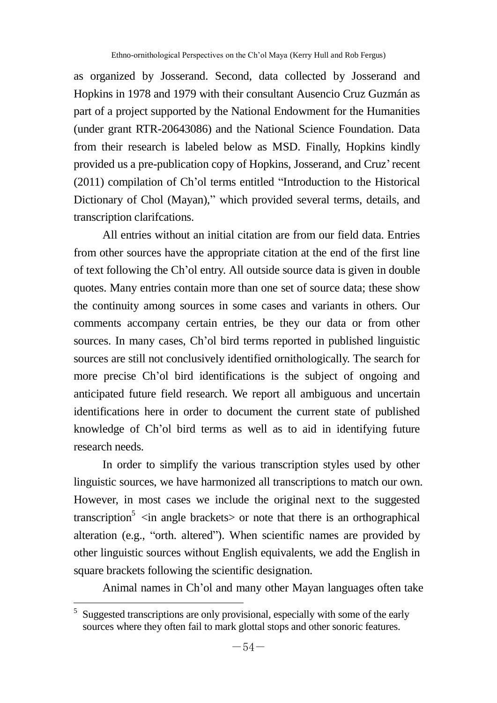as organized by Josserand. Second, data collected by Josserand and Hopkins in 1978 and 1979 with their consultant Ausencio Cruz Guzmán as part of a project supported by the National Endowment for the Humanities (under grant RTR-20643086) and the National Science Foundation. Data from their research is labeled below as MSD. Finally, Hopkins kindly provided us a pre-publication copy of Hopkins, Josserand, and Cruz'recent  $(2011)$  compilation of Ch'ol terms entitled "Introduction to the Historical" Dictionary of Chol (Mayan)," which provided several terms, details, and transcription clarifcations.

All entries without an initial citation are from our field data. Entries from other sources have the appropriate citation at the end of the first line of text following the Ch'ol entry. All outside source data is given in double quotes. Many entries contain more than one set of source data; these show the continuity among sources in some cases and variants in others. Our comments accompany certain entries, be they our data or from other sources. In many cases, Ch'ol bird terms reported in published linguistic sources are still not conclusively identified ornithologically. The search for more precise Ch'ol bird identifications is the subject of ongoing and anticipated future field research. We report all ambiguous and uncertain identifications here in order to document the current state of published knowledge of Ch'ol bird terms as well as to aid in identifying future research needs.

In order to simplify the various transcription styles used by other linguistic sources, we have harmonized all transcriptions to match our own. However, in most cases we include the original next to the suggested transcription<sup>5</sup>  $\sin$  angle brackets or note that there is an orthographical alteration (e.g., "orth. altered"). When scientific names are provided by other linguistic sources without English equivalents, we add the English in square brackets following the scientific designation.

Animal names in Ch'ol and many other Mayan languages often take

<sup>&</sup>lt;sup>5</sup> Suggested transcriptions are only provisional, especially with some of the early sources where they often fail to mark glottal stops and other sonoric features.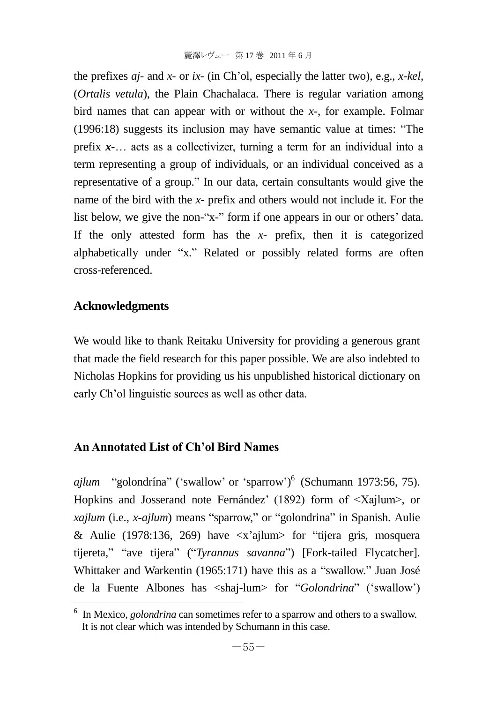the prefixes *aj-* and *x-* or *ix-* (in Ch'ol, especially the latter two), e.g., *x-kel*, (*Ortalis vetula*), the Plain Chachalaca. There is regular variation among bird names that can appear with or without the *x-*, for example. Folmar  $(1996:18)$  suggests its inclusion may have semantic value at times: "The prefix *x-*… acts as a collectivizer, turning a term for an individual into a term representing a group of individuals, or an individual conceived as a representative of a group." In our data, certain consultants would give the name of the bird with the *x-* prefix and others would not include it. For the list below, we give the non-"x-" form if one appears in our or others' data. If the only attested form has the *x-* prefix, then it is categorized alphabetically under "x." Related or possibly related forms are often cross-referenced.

## **Acknowledgments**

l

We would like to thank Reitaku University for providing a generous grant that made the field research for this paper possible. We are also indebted to Nicholas Hopkins for providing us his unpublished historical dictionary on early Ch'ol linguistic sources as well as other data.

# **An Annotated List of Ch'ol Bird Names**

ajlum "golondrína" ('swallow' or 'sparrow')<sup>6</sup> (Schumann 1973:56, 75). Hopkins and Josserand note Fernández' (1892) form of <Xajlum>, or *xajlum* (i.e., *x-ajlum*) means "sparrow," or "golondrina" in Spanish. Aulie & Aulie (1978:136, 269) have  $\langle x \rangle$  ajlum $>$  for "tijera gris, mosquera tijereta," "ave tijera" ("Tyrannus savanna") [Fork-tailed Flycatcher]. Whittaker and Warkentin (1965:171) have this as a "swallow." Juan José de la Fuente Albones has <shai-lum> for "*Golondrina*" ('swallow')

<sup>&</sup>lt;sup>6</sup> In Mexico, *golondrina* can sometimes refer to a sparrow and others to a swallow. It is not clear which was intended by Schumann in this case.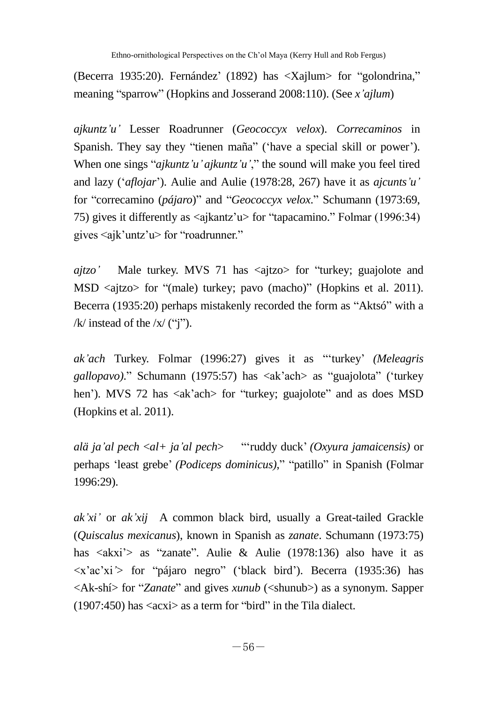(Becerra 1935:20). Fernández' (1892) has  $\langle$ Xajlum $\rangle$  for "golondrina," meaning "sparrow" (Hopkins and Josserand 2008:110). (See *x'ajlum*)

*ajkuntz'u'* Lesser Roadrunner (*Geococcyx velox*). *Correcaminos* in Spanish. They say they "tienen maña" ('have a special skill or power'). When one sings " $ajkuntz'u'ajkuntz'u'''$  the sound will make you feel tired and lazy (‗*aflojar*'). Aulie and Aulie (1978:28, 267) have it as *ajcunts'u'* for "correcamino (*pájaro*)" and "*Geococcyx velox*." Schumann (1973:69, 75) gives it differently as  $\langle$ ajkantz'u $\rangle$  for "tapacamino." Folmar (1996:34) gives  $\langle a|k'$ untz'u $\rangle$  for "roadrunner."

*ajtzo'* Male turkey. MVS 71 has <aitzo> for "turkey; guajolote and MSD  $\langle \text{aitzo}\rangle$  for "(male) turkey; pavo (macho)" (Hopkins et al. 2011). Becerra (1935:20) perhaps mistakenly recorded the form as "Aktsó" with a /k/ instead of the  $\frac{x}{y}$  ("i").

*ak'ach* Turkey. Folmar (1996:27) gives it as "turkey' *(Meleagris gallopavo)*." Schumann (1975:57) has <ak'ach> as "guajolota" ('turkey hen'). MVS 72 has  $\langle a \times a \rangle$  for "turkey; guajolote" and as does MSD (Hopkins et al. 2011).

*alä ja'al pech* <*al+ ja'al pech*> ―‗ruddy duck' *(Oxyura jamaicensis)* or perhaps 'least grebe' *(Podiceps dominicus)*," "patillo" in Spanish (Folmar 1996:29).

*ak'xi'* or *ak'xij* A common black bird, usually a Great-tailed Grackle (*Quiscalus mexicanus*), known in Spanish as *zanate*. Schumann (1973:75) has <akxi'> as "zanate". Aulie & Aulie (1978:136) also have it as  $\langle x'ac'xi' \rangle$  for "pájaro negro" ('black bird'). Becerra (1935:36) has  $\langle A\mathbf{k} - \mathbf{s}\rangle$  for "*Zanate*" and gives *xunub* ( $\langle \mathbf{s}\rangle$ hunub $\rangle$ ) as a synonym. Sapper  $(1907:450)$  has  $\langle \text{acxi} \rangle$  as a term for "bird" in the Tila dialect.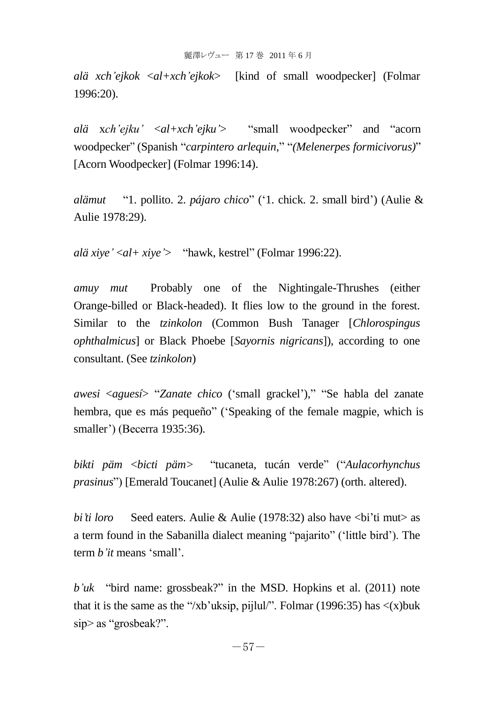*alä xch'ejkok* <*al+xch'ejkok*> [kind of small woodpecker] (Folmar 1996:20).

*alä* x*ch'eiku'*  $\langle a|+xch'eiku'\rangle$  "small woodpecker" and "acorn woodpecker" (Spanish "*carpintero arlequin*," "(*Melenerpes formicivorus*)" [Acorn Woodpecker] (Folmar 1996:14).

*alämut* ―1. pollito. 2. *pájaro chico*‖ (‗1. chick. 2. small bird') (Aulie & Aulie 1978:29).

*alä xiye'* <*al*+ *xiye'* > "hawk, kestrel" (Folmar 1996:22).

*amuy mut* Probably one of the Nightingale-Thrushes (either Orange-billed or Black-headed). It flies low to the ground in the forest. Similar to the *tzinkolon* (Common Bush Tanager [*Chlorospingus ophthalmicus*] or Black Phoebe [*Sayornis nigricans*]), according to one consultant. (See *tzinkolon*)

*awesi* <*aguesí*> "*Zanate chico* ('small grackel')," "Se habla del zanate hembra, que es más pequeño" ('Speaking of the female magpie, which is smaller') (Becerra 1935:36).

*bikti päm* <*bicti päm>* ―tucaneta, tucán verde‖ (―*Aulacorhynchus prasinus*") [Emerald Toucanet] (Aulie & Aulie 1978:267) (orth. altered).

*bi'ti loro* Seed eaters. Aulie & Aulie (1978:32) also have <br/>  $\langle$ bi'ti mut> as a term found in the Sabanilla dialect meaning "pajarito" ('little bird'). The term *b'it* means 'small'.

 $b'uk$  "bird name: grossbeak?" in the MSD. Hopkins et al. (2011) note that it is the same as the "/xb'uksip, pijlul/". Folmar (1996:35) has  $\langle x \rangle$ buk  $\sin$  as "grosbeak?".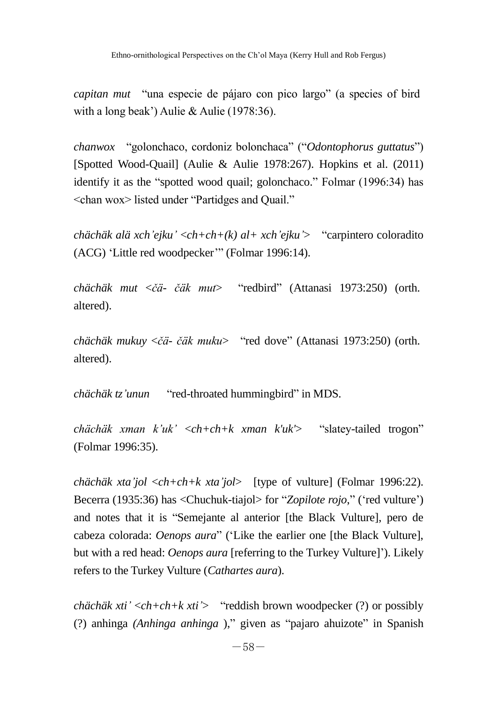*capitan mut* "una especie de pájaro con pico largo" (a species of bird with a long beak') Aulie & Aulie (1978:36).

*chanwox* "golonchaco, cordoniz bolonchaca" ("*Odontophorus guttatus*") [Spotted Wood-Quail] (Aulie & Aulie 1978:267). Hopkins et al. (2011) identify it as the "spotted wood quail; golonchaco." Folmar (1996:34) has <chan wox> listed under "Partidges and Quail."

*chächäk alä xch'ejku'* <*ch+ch+(k) al+ xch'ejku'*> ―carpintero coloradito (ACG) 'Little red woodpecker'" (Folmar 1996:14).

*chächäk mut* <*čä- čäk mut*> ―redbird‖ (Attanasi 1973:250) (orth. altered).

*chächäk mukuy* <*čä- čäk muku*> ―red dove‖ (Attanasi 1973:250) (orth. altered).

*chächäk tz'unun* "red-throated hummingbird" in MDS.

*chächäk xman k'uk'* <*ch*+*ch*+*k xman k'uk'*> "slatey-tailed trogon" (Folmar 1996:35).

*chächäk xta'jol* <*ch+ch+k xta'jol*> [type of vulture] (Folmar 1996:22). Becerra (1935:36) has <Chuchuk-tiajol> for "Zopilote rojo," ('red vulture') and notes that it is "Semejante al anterior [the Black Vulture], pero de cabeza colorada: *Oenops aura*" ('Like the earlier one [the Black Vulture], but with a red head: *Oenops aura* [referring to the Turkey Vulture]'). Likely refers to the Turkey Vulture (*Cathartes aura*).

*chächäk xti'* <*ch+ch+k xti'*> ―reddish brown woodpecker (?) or possibly (?) anhinga *(Anhinga anhinga* )," given as "pajaro ahuizote" in Spanish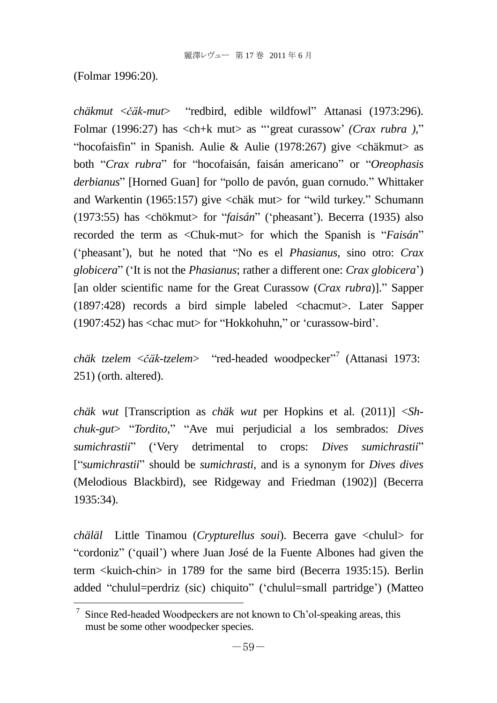(Folmar 1996:20).

*chäkmut* <*čäk-mut*> ―redbird, edible wildfowl‖ Attanasi (1973:296). Folmar (1996:27) has <ch+k mut> as "expect curassow' *(Crax rubra*)," "hocofaisfin" in Spanish. Aulie & Aulie (1978:267) give  $\langle$ chäkmut $\rangle$  as both "Crax rubra" for "hocofaisán, faisán americano" or "Oreophasis *derbianus*" [Horned Guan] for "pollo de pavón, guan cornudo." Whittaker and Warkentin (1965:157) give  $\langle$ chäk mut $\rangle$  for "wild turkey." Schumann (1973:55) has <chökmut> for "*faisán*" ('pheasant'). Becerra (1935) also recorded the term as <Chuk-mut> for which the Spanish is "Faisán" ('pheasant'), but he noted that "No es el *Phasianus*, *sino otro: Crax globicera*‖ (‗It is not the *Phasianus*; rather a different one: *Crax globicera*') [an older scientific name for the Great Curassow (*Crax rubra*)]." Sapper (1897:428) records a bird simple labeled <chacmut>. Later Sapper  $(1907:452)$  has  $\langle$ chac mut $>$  for "Hokkohuhn," or 'curassow-bird'.

chäk tzelem < čäk-tzelem> "red-headed woodpecker"<sup>7</sup> (Attanasi 1973: 251) (orth. altered).

*chäk wut* [Transcription as *chäk wut* per Hopkins et al. (2011)] <*Shchuk-gut*> "*Tordito*," "Ave mui perjudicial a los sembrados: *Dives sumichrastii*<sup></sup> ('Very detrimental to crops: *Dives sumichrastii*<sup>"</sup> [―*sumichrastii*‖ should be *sumichrasti*, and is a synonym for *Dives dives*  (Melodious Blackbird), see Ridgeway and Friedman (1902)] (Becerra 1935:34).

*chäläl* Little Tinamou (*Crypturellus soui*). Becerra gave <chulul> for ―cordoniz‖ (‗quail') where Juan José de la Fuente Albones had given the term <kuich-chin> in 1789 for the same bird (Becerra 1935:15). Berlin added "chulul=perdriz (sic) chiquito" ('chulul=small partridge') (Matteo

 7 Since Red-headed Woodpeckers are not known to Ch'ol-speaking areas, this must be some other woodpecker species.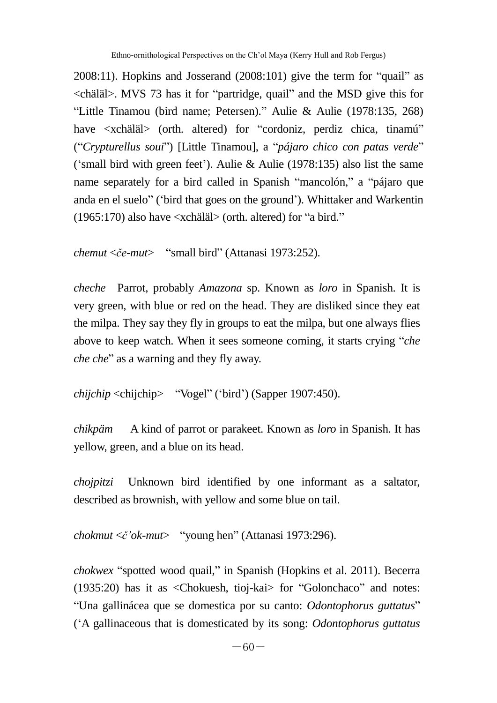$2008:11$ ). Hopkins and Josserand  $(2008:101)$  give the term for "quail" as <chäläl>. MVS 73 has it for "partridge, quail" and the MSD give this for ―Little Tinamou (bird name; Petersen).‖ Aulie & Aulie (1978:135, 268) have <xchäläl> (orth. altered) for "cordoniz, perdiz chica, tinamú" (―*Crypturellus soui*‖) [Little Tinamou], a ―*pájaro chico con patas verde*‖ ('small bird with green feet'). Aulie & Aulie (1978:135) also list the same name separately for a bird called in Spanish "mancolón," a "pájaro que anda en el suelo‖ (‗bird that goes on the ground'). Whittaker and Warkentin  $(1965:170)$  also have  $\langle$ xchäläl $>$  (orth. altered) for "a bird."

```
chemut <\check{c}e-mut> "small bird" (Attanasi 1973:252).
```
*cheche* Parrot, probably *Amazona* sp. Known as *loro* in Spanish. It is very green, with blue or red on the head. They are disliked since they eat the milpa. They say they fly in groups to eat the milpa, but one always flies above to keep watch. When it sees someone coming, it starts crying "*che che che*" as a warning and they fly away.

```
chijchip <chijchip> "Vogel" ('bird') (Sapper 1907:450).
```
*chikpäm* A kind of parrot or parakeet. Known as *loro* in Spanish. It has yellow, green, and a blue on its head.

*chojpitzi* Unknown bird identified by one informant as a saltator, described as brownish, with yellow and some blue on tail.

```
chokmut <č'ok-mut> "young hen" (Attanasi 1973:296).
```
*chokwex* "spotted wood quail," in Spanish (Hopkins et al. 2011). Becerra  $(1935:20)$  has it as <Chokuesh, tioj-kai> for "Golonchaco" and notes: ―Una gallinácea que se domestica por su canto: *Odontophorus guttatus*‖ (‗A gallinaceous that is domesticated by its song: *Odontophorus guttatus*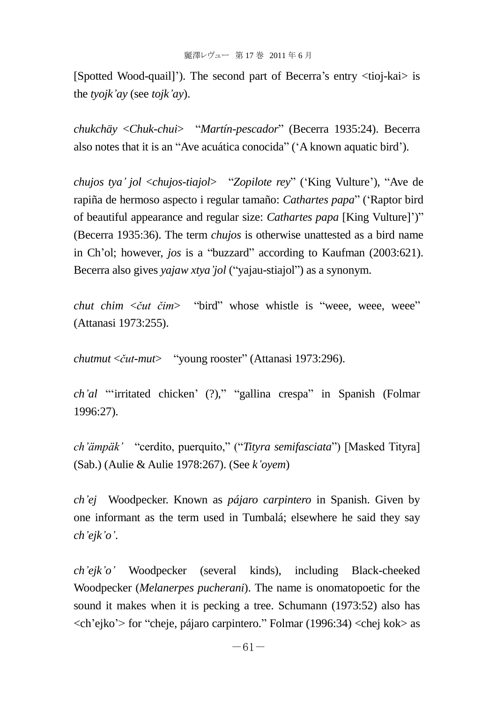[Spotted Wood-quail]'). The second part of Becerra's entry <tioj-kai> is the *tyojk'ay* (see *tojk'ay*).

*chukchäy* <*Chuk-chui*> ―*Martín-pescador*‖ (Becerra 1935:24). Becerra also notes that it is an "Ave acuática conocida" ('A known aquatic bird').

*chujos tya' jol* <*chujos-tiajol*> ―*Zopilote rey*‖ (‗King Vulture'), ―Ave de rapiña de hermoso aspecto i regular tamaño: *Cathartes papa*" ('Raptor bird of beautiful appearance and regular size: *Cathartes papa* [King Vulture]')" (Becerra 1935:36). The term *chujos* is otherwise unattested as a bird name in Ch'ol; however, *jos* is a "buzzard" according to Kaufman (2003:621). Becerra also gives *yajaw xtya'jol* ("yajau-stiajol") as a synonym.

*chut chim* <*čut čim*> "bird" whose whistle is "weee, weee, weee" (Attanasi 1973:255).

*chutmut* <*čut-mut*> "young rooster" (Attanasi 1973:296).

*ch'al* "irritated chicken' (?)," "gallina crespa" in Spanish (Folmar 1996:27).

*ch'ämpäk'* "cerdito, puerquito," ("Tityra semifasciata") [Masked Tityra] (Sab.) (Aulie & Aulie 1978:267). (See *k'oyem*)

*ch'ej* Woodpecker. Known as *pájaro carpintero* in Spanish. Given by one informant as the term used in Tumbalá; elsewhere he said they say *ch'ejk'o'*.

*ch'ejk'o'* Woodpecker (several kinds), including Black-cheeked Woodpecker (*Melanerpes pucherani*). The name is onomatopoetic for the sound it makes when it is pecking a tree. Schumann (1973:52) also has  $\langle$ ch'ejko'> for "cheje, pájaro carpintero." Folmar (1996:34)  $\langle$ chej kok> as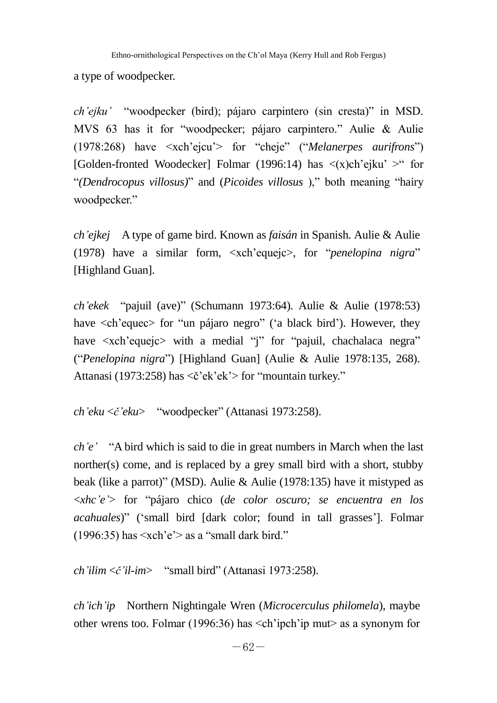a type of woodpecker.

*ch'ejku'* "woodpecker (bird); pájaro carpintero (sin cresta)" in MSD. MVS 63 has it for "woodpecker; pájaro carpintero." Aulie & Aulie (1978:268) have  $\langle xch'ejeu'\rangle$  for "cheje" ("*Melanerpes aurifrons*") [Golden-fronted Woodecker] Folmar (1996:14) has  $\langle x \rangle$ ch'ejku' > for ―*(Dendrocopus villosus)*‖ and (*Picoides villosus* ),‖ both meaning ―hairy woodpecker."

*ch'ejkej* A type of game bird. Known as *faisán* in Spanish. Aulie & Aulie (1978) have a similar form,  $\langle xch' \text{eque} | c \rangle$ , for "*penelopina nigra*" [Highland Guan].

*ch'ekek* "pajuil (ave)" (Schumann 1973:64). Aulie & Aulie (1978:53) have  $\langle$ ch'equec $>$  for "un pájaro negro" ('a black bird'). However, they have  $\langle xch'e_0 \rangle$  with a medial "i" for "pajuil, chachalaca negra" (―*Penelopina nigra*‖) [Highland Guan] (Aulie & Aulie 1978:135, 268). Attanasi (1973:258) has  $\langle \xi \rangle$  ek's for "mountain turkey."

*ch'eku* <*č'eku*> "woodpecker" (Attanasi 1973:258).

*ch'e'* "A bird which is said to die in great numbers in March when the last norther(s) come, and is replaced by a grey small bird with a short, stubby beak (like a parrot)" (MSD). Aulie & Aulie (1978:135) have it mistyped as <*xhc'e'*> for ―pájaro chico (*de color oscuro; se encuentra en los acahuales*)" ('small bird [dark color; found in tall grasses']. Folmar  $(1996:35)$  has  $\langle xch \rangle e$  as a "small dark bird."

*ch'ilim* <*č'il-im*> ―small bird‖ (Attanasi 1973:258).

*ch'ich'ip* Northern Nightingale Wren (*Microcerculus philomela*), maybe other wrens too. Folmar (1996:36) has <ch'ipch'ip mut> as a synonym for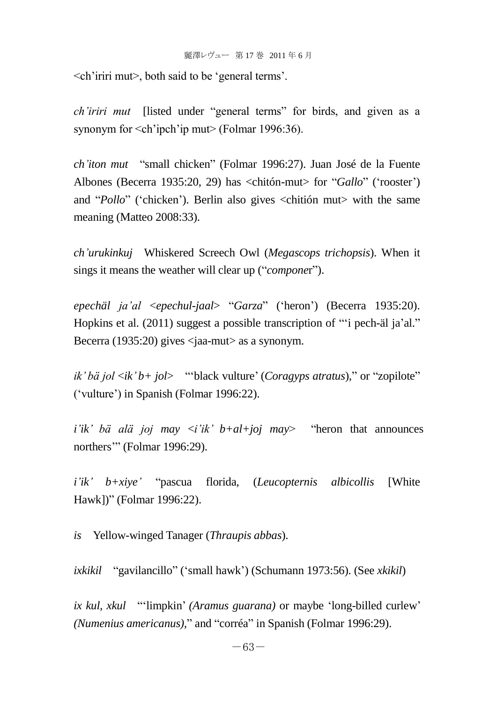$\le$ ch'iriri mut $>$ , both said to be 'general terms'.

*ch'iriri mut* [listed under "general terms" for birds, and given as a synonym for <ch'ipch'ip mut> (Folmar 1996:36).

*ch'iton mut* ―small chicken‖ (Folmar 1996:27). Juan José de la Fuente Albones (Becerra 1935:20, 29) has <chiton-mut> for "*Gallo*" ('rooster') and "*Pollo*" ('chicken'). Berlin also gives <chitión mut> with the same meaning (Matteo 2008:33).

*ch'urukinkuj* Whiskered Screech Owl (*Megascops trichopsis*). When it sings it means the weather will clear up ("*componer*").

*epechäl ja'al* <*epechul-jaal*> ―*Garza*‖ (‗heron') (Becerra 1935:20). Hopkins et al.  $(2011)$  suggest a possible transcription of ""i pech-äl ja'al." Becerra (1935:20) gives  $\langle$ iaa-mut $\rangle$  as a synonym.

 $ik' b \ddot{a}$  *jol*  $\langle i k' b + j \dot{b} \rangle$  — "black vulture' (*Coragyps atratus*)," or "zopilote" (‗vulture') in Spanish (Folmar 1996:22).

 $i'ik'$  *bä alä joj may*  $\langle i'ik' b+a l+joj$  *may* – "heron that announces" northers" (Folmar 1996:29).

*i'ik' b+xiye'* ―pascua florida, (*Leucopternis albicollis* [White Hawk])" (Folmar 1996:22).

*is* Yellow-winged Tanager (*Thraupis abbas*).

*ixkikil* "gavilancillo" ('small hawk') (Schumann 1973:56). (See *xkikil*)

*ix kul, xkul* ―‗limpkin' *(Aramus guarana)* or maybe ‗long-billed curlew' *(Numenius americanus),*" and "corréa" in Spanish (Folmar 1996:29).

 $-63-$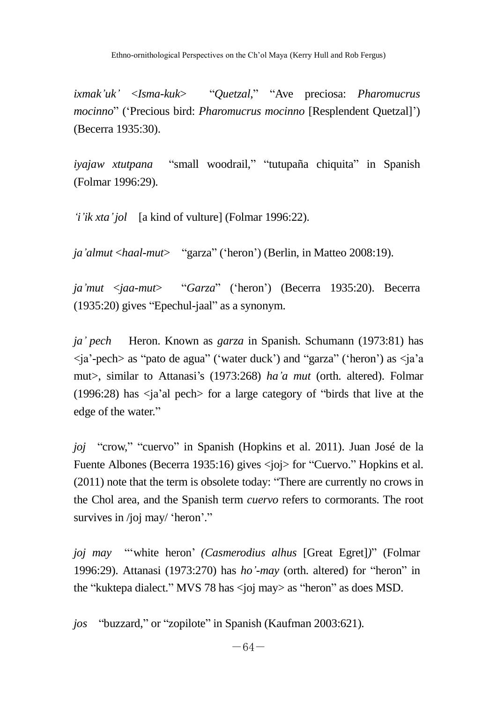*ixmak'uk'* <*Isma-kuk*> ―*Quetzal*,‖ ―Ave preciosa: *Pharomucrus mocinno*‖ (‗Precious bird: *Pharomucrus mocinno* [Resplendent Quetzal]') (Becerra 1935:30).

*iyajaw xtutpana* "small woodrail," "tutupaña chiquita" in Spanish (Folmar 1996:29).

*'i'ik xta'jol* [a kind of vulture] (Folmar 1996:22).

*ja'almut* <*haal-mut*> "garza" ('heron') (Berlin, in Matteo 2008:19).

*ja'mut* <*jaa-mut*> ―*Garza*‖ (‗heron') (Becerra 1935:20). Becerra  $(1935:20)$  gives "Epechul-jaal" as a synonym.

*ja' pech* Heron. Known as *garza* in Spanish. Schumann (1973:81) has  $\langle$ ia'-pech as "pato de agua" ('water duck') and "garza" ('heron') as  $\langle$ ia'a mut>, similar to Attanasi's (1973:268) *ha'a mut* (orth. altered). Folmar (1996:28) has  $\langle$ ja'al pech $>$  for a large category of "birds that live at the edge of the water."

*joj* "crow," "cuervo" in Spanish (Hopkins et al. 2011). Juan José de la Fuente Albones (Becerra 1935:16) gives <joj> for "Cuervo." Hopkins et al.  $(2011)$  note that the term is obsolete today: "There are currently no crows in the Chol area, and the Spanish term *cuervo* refers to cormorants. The root survives in /joj may/ 'heron'."

*joj may* "white heron' *(Casmerodius alhus [Great Egret])*" *(Folmar* 1996:29). Attanasi (1973:270) has *ho'-may* (orth. altered) for "heron" in the "kuktepa dialect." MVS 78 has  $\langle$ ioj may $\rangle$  as "heron" as does MSD.

*jos* "buzzard," or "zopilote" in Spanish (Kaufman 2003:621).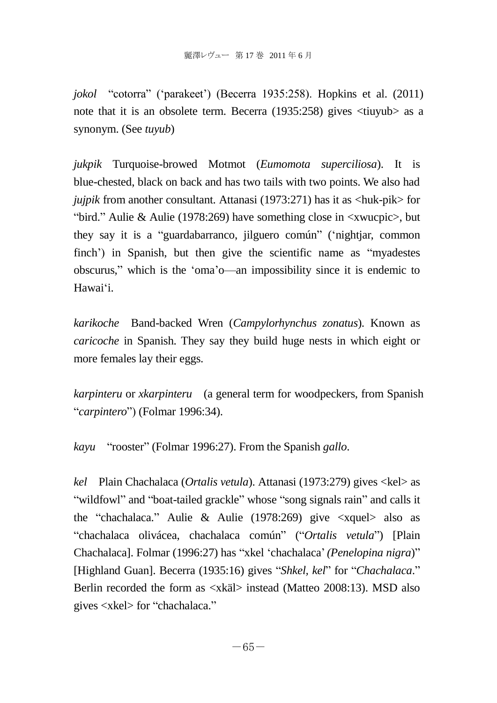*jokol* "cotorra" ('parakeet') (Becerra 1935:258). Hopkins et al. (2011) note that it is an obsolete term. Becerra (1935:258) gives <tiuyub> as a synonym. (See *tuyub*)

*jukpik* Turquoise-browed Motmot (*Eumomota superciliosa*). It is blue-chested, black on back and has two tails with two points. We also had *jujpik* from another consultant. Attanasi (1973:271) has it as <huk-pik> for "bird." Aulie & Aulie (1978:269) have something close in  $\langle x, y \rangle$  but they say it is a "guardabarranco, jilguero común" ('nightjar, common finch') in Spanish, but then give the scientific name as "myadestes obscurus,‖ which is the ‗oma'o—an impossibility since it is endemic to Hawai‗i.

*karikoche* Band-backed Wren (*Campylorhynchus zonatus*). Known as *caricoche* in Spanish. They say they build huge nests in which eight or more females lay their eggs.

*karpinteru* or *xkarpinteru* (a general term for woodpeckers, from Spanish ―*carpintero*‖) (Folmar 1996:34).

*kayu* "rooster" (Folmar 1996:27). From the Spanish *gallo*.

*kel* Plain Chachalaca (*Ortalis vetula*). Attanasi (1973:279) gives <kel> as "wildfowl" and "boat-tailed grackle" whose "song signals rain" and calls it the "chachalaca." Aulie & Aulie (1978:269) give  $\langle x, y \rangle$  also as "chachalaca olivácea, chachalaca común" ("Ortalis vetula") [Plain Chachalaca]. Folmar (1996:27) has "xkel 'chachalaca' (Penelopina nigra)" [Highland Guan]. Becerra (1935:16) gives "Shkel, kel" for "Chachalaca." Berlin recorded the form as <xkäl> instead (Matteo 2008:13). MSD also gives  $\langle$ xkel $>$  for "chachalaca."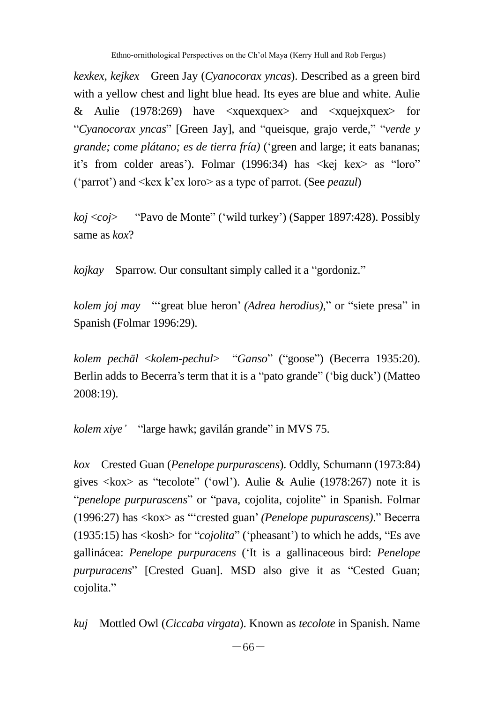*kexkex, kejkex* Green Jay (*Cyanocorax yncas*). Described as a green bird with a yellow chest and light blue head. Its eyes are blue and white. Aulie & Aulie (1978:269) have  $\langle x \rangle$  and  $\langle x \rangle$  and  $\langle x \rangle$  for "Cyanocorax yncas" [Green Jay], and "queisque, grajo verde," "verde y *grande; come plátano; es de tierra fría)* (‗green and large; it eats bananas; it's from colder areas'). Folmar (1996:34) has  $\leq$ kej kex $>$  as "loro" (‗parrot') and <kex k'ex loro> as a type of parrot. (See *peazul*)

*koj* <*coj*> 
"Pavo de Monte" ('wild turkey') (Sapper 1897:428). Possibly same as *kox*?

*kojkay* Sparrow. Our consultant simply called it a "gordoniz."

*kolem joj may* "'great blue heron' *(Adrea herodius)*," or "siete presa" in Spanish (Folmar 1996:29).

*kolem pechäl* <*kolem-pechul*> ―*Ganso*‖ (―goose‖) (Becerra 1935:20). Berlin adds to Becerra's term that it is a "pato grande" ('big duck') (Matteo 2008:19).

*kolem xiye'* "large hawk; gavilán grande" in MVS 75.

*kox* Crested Guan (*Penelope purpurascens*). Oddly, Schumann (1973:84) gives  $\langle k\alpha x \rangle$  as "tecolote" ('owl'). Aulie & Aulie (1978:267) note it is "*penelope purpurascens*" or "pava, cojolita, cojolite" in Spanish. Folmar (1996:27) has  $\langle k \text{ox} \rangle$  as "crested guan' *(Penelope pupurascens*)." Becerra  $(1935:15)$  has  $\langle \text{kosh}\rangle$  for "*cojolita*" ('pheasant') to which he adds, "Es ave gallinácea: *Penelope purpuracens* (‗It is a gallinaceous bird: *Penelope purpuracens*" [Crested Guan]. MSD also give it as "Cested Guan; cojolita."

*kuj* Mottled Owl (*Ciccaba virgata*). Known as *tecolote* in Spanish. Name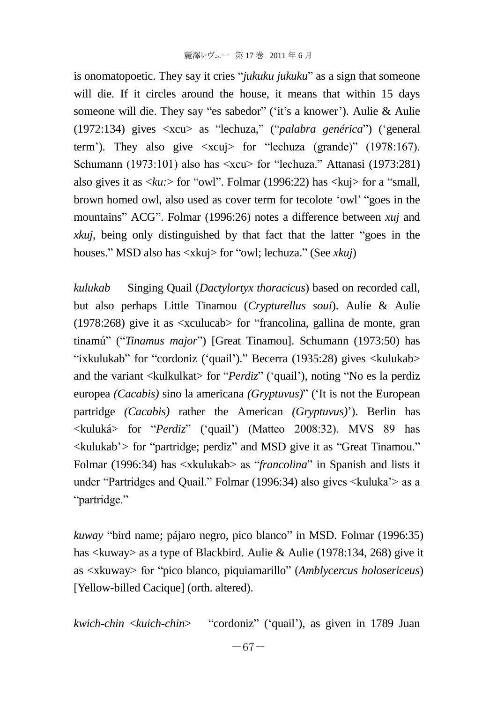is onomatopoetic. They say it cries "*jukuku jukuku*" as a sign that someone will die. If it circles around the house, it means that within 15 days someone will die. They say "es sabedor" ('it's a knower'). Aulie & Aulie (1972:134) gives <xcu> as "lechuza," ("*palabra genérica*") ('general term'). They also give  $\langle xcu\rangle$  for "lechuza (grande)" (1978:167). Schumann (1973:101) also has  $\langle x \rangle$  for "lechuza." Attanasi (1973:281) also gives it as  $\langle k, u \rangle$  for "owl". Folmar (1996:22) has  $\langle k, u \rangle$  for a "small, brown homed owl, also used as cover term for tecolote 'owl' "goes in the mountains" ACG". Folmar (1996:26) notes a difference between *xuj* and *xkuj*, being only distinguished by that fact that the latter "goes in the houses." MSD also has <xkuj> for "owl; lechuza." (See *xkuj*)

*kulukab* Singing Quail (*Dactylortyx thoracicus*) based on recorded call, but also perhaps Little Tinamou (*Crypturellus soui*). Aulie & Aulie  $(1978:268)$  give it as  $\langle x \rangle$  studies such that  $\langle x \rangle$  and  $\langle y \rangle$  and  $\langle y \rangle$  and  $\langle y \rangle$  are  $\langle y \rangle$  and  $\langle y \rangle$  are  $\langle y \rangle$  and  $\langle y \rangle$  are  $\langle y \rangle$  and  $\langle y \rangle$  are  $\langle y \rangle$  and  $\langle y \rangle$  are  $\langle y \rangle$  are  $\langle y \rangle$  are  $\langle$ tinamú<sup>"</sup> ("*Tinamus major*") [Great Tinamou]. Schumann (1973:50) has "ixkulukab" for "cordoniz ('quail')." Becerra (1935:28) gives  $\langle$ kulukab $\rangle$ and the variant <kulkulkat> for "*Perdiz*" ('quail'), noting "No es la perdiz europea *(Cacabis)* sino la americana *(Gryptuvus)*" ('It is not the European partridge *(Cacabis)* rather the American *(Gryptuvus)*'). Berlin has <kuluká> for ―*Perdiz*‖ (‗quail') (Matteo 2008:32). MVS 89 has  $\langle$ kulukab'> for "partridge; perdiz" and MSD give it as "Great Tinamou." Folmar (1996:34) has  $\langle x \rangle$  kulukab $\langle y \rangle$  as "*francolina*" in Spanish and lists it under "Partridges and Quail." Folmar (1996:34) also gives  $\leq$ kuluka'> as a "partridge."

*kuway* "bird name; pájaro negro, pico blanco" in MSD. Folmar (1996:35) has <kuway> as a type of Blackbird. Aulie & Aulie (1978:134, 268) give it as <xkuway> for "pico blanco, piquiamarillo" (*Amblycercus holosericeus*) [Yellow-billed Cacique] (orth. altered).

*kwich-chin <kuich-chin>* 

"cordoniz" ('quail'), as given in 1789 Juan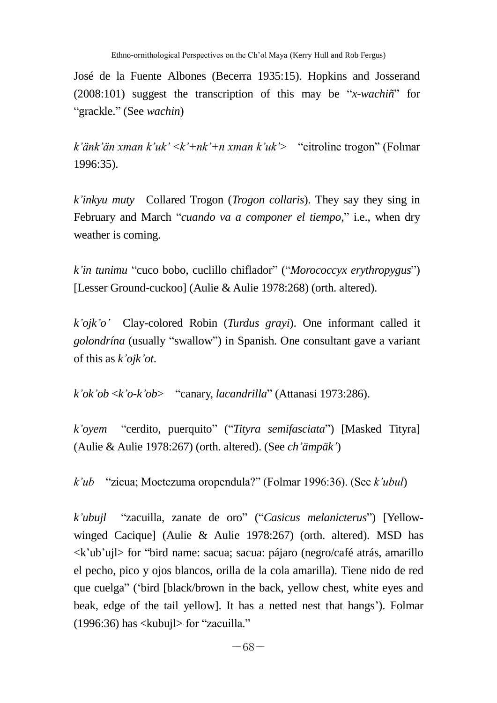José de la Fuente Albones (Becerra 1935:15). Hopkins and Josserand  $(2008:101)$  suggest the transcription of this may be "*x-wachiñ*" for ―grackle.‖ (See *wachin*)

*k'änk'än xman k'uk'* <*k'+nk'+n xman k'uk'*> ―citroline trogon‖ (Folmar 1996:35).

*k'inkyu muty* Collared Trogon (*Trogon collaris*). They say they sing in February and March "*cuando va a componer el tiempo*," i.e., when dry weather is coming.

*k'in tunimu* "cuco bobo, cuclillo chiflador" ("*Morococcyx erythropygus*") [Lesser Ground-cuckoo] (Aulie & Aulie 1978:268) (orth. altered).

*k'ojk'o'* Clay-colored Robin (*Turdus grayi*). One informant called it *golondrína* (usually "swallow") in Spanish. One consultant gave a variant of this as *k'ojk'ot*.

*k'ok'ob* <*k'o-k'ob*> "canary, *lacandrilla*" (Attanasi 1973:286).

*k'oyem* "cerdito, puerquito" ("Tityra semifasciata") [Masked Tityra] (Aulie & Aulie 1978:267) (orth. altered). (See *ch'ämpäk'*)

*k'ub* ―zicua; Moctezuma oropendula?‖ (Folmar 1996:36). (See *k'ubul*)

*k'ubujl* ―zacuilla, zanate de oro‖ (―*Casicus melanicterus*‖) [Yellowwinged Cacique] (Aulie & Aulie 1978:267) (orth. altered). MSD has  $\langle k'ub'uj\rangle$  for "bird name: sacua; sacua: pájaro (negro/café atrás, amarillo el pecho, pico y ojos blancos, orilla de la cola amarilla). Tiene nido de red que cuelga" ('bird [black/brown in the back, yellow chest, white eyes and beak, edge of the tail yellow]. It has a netted nest that hangs'). Folmar  $(1996:36)$  has  $\langle$ kubuil $\rangle$  for "zacuilla."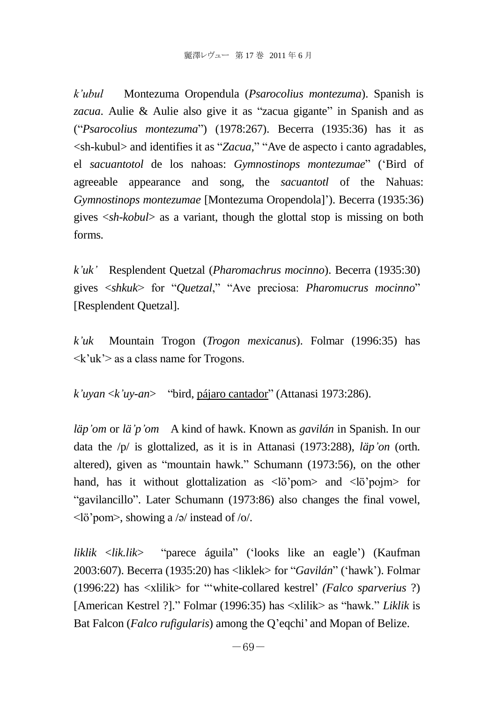*k'ubul* Montezuma Oropendula (*Psarocolius montezuma*). Spanish is *zacua*. Aulie & Aulie also give it as "zacua gigante" in Spanish and as (―*Psarocolius montezuma*‖) (1978:267). Becerra (1935:36) has it as  $\langle$ sh-kubul> and identifies it as "*Zacua*," "Ave de aspecto i canto agradables, el *sacuantotol* de los nahoas: *Gymnostinops montezumae*" ('Bird of agreeable appearance and song, the *sacuantotl* of the Nahuas: *Gymnostinops montezumae* [Montezuma Oropendola]'). Becerra (1935:36) gives <*sh-kobul*> as a variant, though the glottal stop is missing on both forms.

*k'uk'* Resplendent Quetzal (*Pharomachrus mocinno*). Becerra (1935:30) gives  $\langle$ shkuk> for "*Quetzal*," "Ave preciosa: *Pharomucrus mocinno*" [Resplendent Quetzal].

*k'uk* Mountain Trogon (*Trogon mexicanus*). Folmar (1996:35) has  $\langle k'uk'\rangle$  as a class name for Trogons.

*k'uyan* <*k'uy-an*> ―bird, pájaro cantador‖ (Attanasi 1973:286).

*läp'om* or *lä'p'om* A kind of hawk. Known as *gavilán* in Spanish. In our data the /p/ is glottalized, as it is in Attanasi (1973:288), *läp'on* (orth. altered), given as "mountain hawk." Schumann (1973:56), on the other hand, has it without glottalization as  $\langle \phi$  has and  $\langle \phi$  is not to the hand. "gavilancillo". Later Schumann (1973:86) also changes the final vowel, <lö'pom>, showing a /ə/ instead of /o/.

*liklik* <*lik.lik*> ―parece águila‖ (‗looks like an eagle') (Kaufman 2003:607). Becerra (1935:20) has <liklek> for "*Gavilán*" ('hawk'). Folmar (1996:22) has <xlilik> for ―‗white-collared kestrel' *(Falco sparverius* ?) [American Kestrel ?]." Folmar (1996:35) has  $\langle$ xlilik $\rangle$  as "hawk." *Liklik* is Bat Falcon (*Falco rufigularis*) among the Q'eqchi' and Mopan of Belize.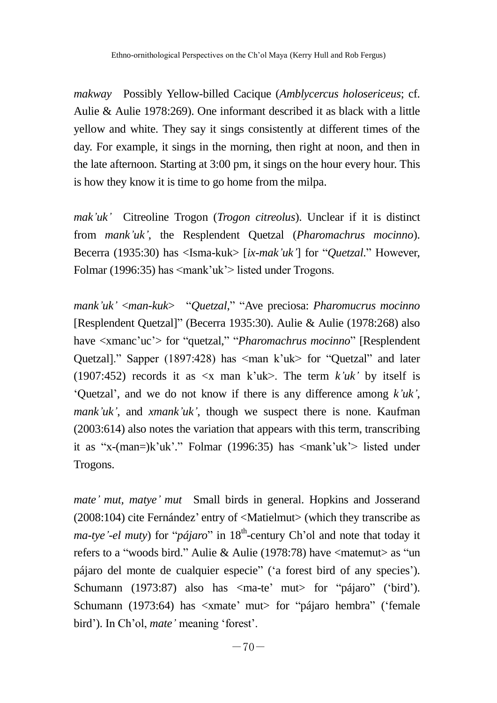*makway* Possibly Yellow-billed Cacique (*Amblycercus holosericeus*; cf. Aulie & Aulie 1978:269). One informant described it as black with a little yellow and white. They say it sings consistently at different times of the day. For example, it sings in the morning, then right at noon, and then in the late afternoon. Starting at 3:00 pm, it sings on the hour every hour. This is how they know it is time to go home from the milpa.

*mak'uk'* Citreoline Trogon (*Trogon citreolus*). Unclear if it is distinct from *mank'uk'*, the Resplendent Quetzal (*Pharomachrus mocinno*). Becerra (1935:30) has <Isma-kuk> [*ix-mak'uk'*] for "*Quetzal*." However, Folmar (1996:35) has <mank'uk'> listed under Trogons.

*mank'uk'* <*man-kuk*> ―*Quetzal*,‖ ―Ave preciosa: *Pharomucrus mocinno* [Resplendent Quetzal]" (Becerra 1935:30). Aulie & Aulie (1978:268) also have  $\langle x \rangle$  and  $\langle u \rangle$  for "quetzal," "*Pharomachrus mocinno*" [Resplendent] Quetzal]." Sapper (1897:428) has  $\leq$ man k'uk> for "Quetzal" and later (1907:452) records it as  $\langle x \rangle$  man k'uk>. The term *k'uk'* by itself is ‗Quetzal', and we do not know if there is any difference among *k'uk'*, *mank'uk'*, and *xmank'uk'*, though we suspect there is none. Kaufman (2003:614) also notes the variation that appears with this term, transcribing it as "x-(man=)k'uk'." Folmar (1996:35) has  $\langle$ mank'uk'> listed under Trogons.

*mate' mut, matye' mut* Small birds in general. Hopkins and Josserand (2008:104) cite Fernández' entry of <Matielmut> (which they transcribe as *ma-tye'-el muty*) for "*pájaro*" in 18<sup>th</sup>-century Ch'ol and note that today it refers to a "woods bird." Aulie & Aulie (1978:78) have  $\langle$  matemut $\rangle$  as "un pájaro del monte de cualquier especie‖ (‗a forest bird of any species'). Schumann (1973:87) also has  $\langle$ ma-te' mut $\rangle$  for "pájaro" ('bird'). Schumann (1973:64) has <xmate' mut> for "pájaro hembra" ('female bird'). In Ch'ol, *mate'* meaning 'forest'.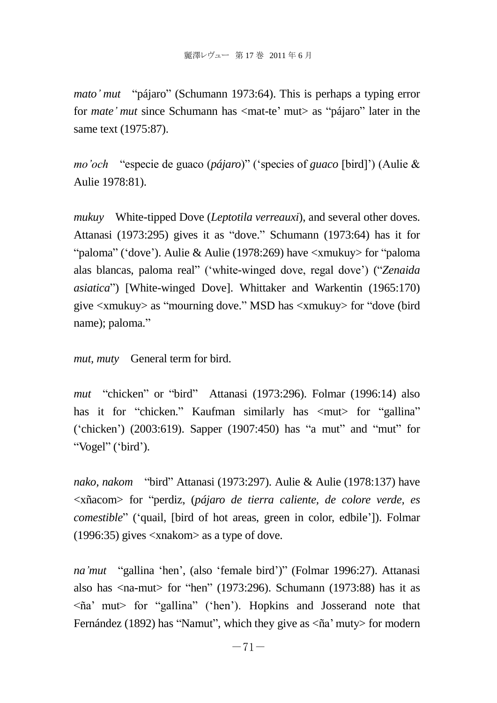*mato' mut* "pájaro" (Schumann 1973:64). This is perhaps a typing error for *mate*' *mut* since Schumann has  $\langle \text{mat-te} \rangle$  mut $\rangle$  as "pájaro" later in the same text (1975:87).

*mo'och* "especie de guaco (*pájaro*)" ('species of *guaco* [bird]') (Aulie & Aulie 1978:81).

*mukuy* White-tipped Dove (*Leptotila verreauxi*), and several other doves. Attanasi (1973:295) gives it as "dove." Schumann (1973:64) has it for "paloma" ('dove'). Aulie & Aulie (1978:269) have  $\langle x, \rangle$  for "paloma" alas blancas, paloma real" ('white-winged dove, regal dove') (*''Zenaida asiatica*") [White-winged Dove]. Whittaker and Warkentin (1965:170) give  $\langle x$  mukuy $\rangle$  as "mourning dove." MSD has  $\langle x$  mukuy $\rangle$  for "dove (bird name); paloma."

*mut, muty* General term for bird.

*mut* "chicken" or "bird" Attanasi (1973:296). Folmar (1996:14) also has it for "chicken." Kaufman similarly has  $\langle \text{mut} \rangle$  for "gallina"  $(6)$  (thicken') (2003:619). Sapper (1907:450) has "a mut" and "mut" for "Vogel" ('bird').

*nako, nakom* "bird" Attanasi (1973:297). Aulie & Aulie (1978:137) have <xñacom> for ―perdiz, (*pájaro de tierra caliente, de colore verde, es comestible*" ('quail, [bird of hot areas, green in color, edbile']). Folmar (1996:35) gives <xnakom> as a type of dove.

*na'mut* "gallina 'hen', (also 'female bird')" (Folmar 1996:27). Attanasi also has  $\langle$ na-mut $\rangle$  for "hen" (1973:296). Schumann (1973:88) has it as  $\leq$ ña' mut $>$  for "gallina" ('hen'). Hopkins and Josserand note that Fernández (1892) has "Namut", which they give as  $\langle$ ña' muty $\rangle$  for modern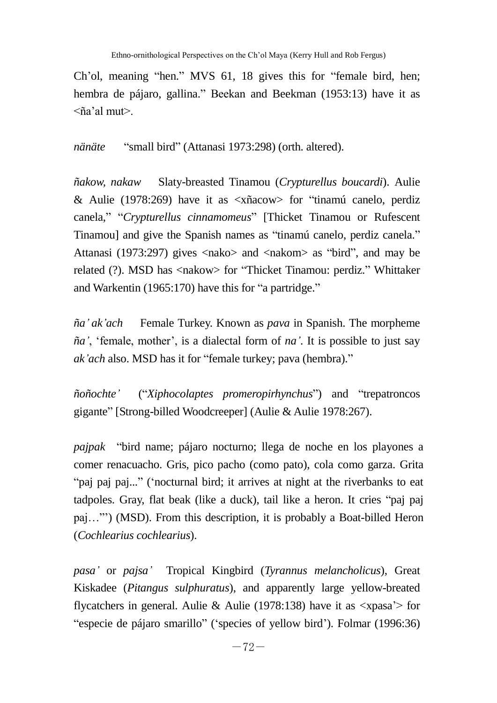Ch'ol, meaning "hen." MVS 61, 18 gives this for "female bird, hen; hembra de pájaro, gallina." Beekan and Beekman (1953:13) have it as <ña'al mut>.

*nänäte* "small bird" (Attanasi 1973:298) (orth. altered).

*ñakow, nakaw* Slaty-breasted Tinamou (*Crypturellus boucardi*). Aulie & Aulie (1978:269) have it as  $\langle x \rangle$  and  $\langle x \rangle$  for "tinamu" canelo, perdized canela," "Crypturellus cinnamomeus" [Thicket Tinamou or Rufescent Tinamou] and give the Spanish names as "tinamú canelo, perdiz canela." Attanasi (1973:297) gives  $\langle$ nako $>$  and  $\langle$ nakom $>$  as "bird", and may be related (?). MSD has <nakow> for "Thicket Tinamou: perdiz." Whittaker and Warkentin  $(1965:170)$  have this for "a partridge."

*ña' ak'ach* Female Turkey. Known as *pava* in Spanish. The morpheme  $\tilde{na}'$ , 'female, mother', is a dialectal form of  $na'$ . It is possible to just say *ak'ach* also. MSD has it for "female turkey; pava (hembra)."

 $ñoñochte'$  ("Xiphocolaptes promeropirhynchus") and "trepatroncos gigante" [Strong-billed Woodcreeper] (Aulie & Aulie 1978:267).

*pajpak* "bird name; pájaro nocturno; llega de noche en los playones a comer renacuacho. Gris, pico pacho (como pato), cola como garza. Grita "paj paj paj..." ("nocturnal bird; it arrives at night at the riverbanks to eat tadpoles. Gray, flat beak (like a duck), tail like a heron. It cries "paj paj paj…‖') (MSD). From this description, it is probably a Boat-billed Heron (*Cochlearius cochlearius*).

*pasa'* or *pajsa'* Tropical Kingbird (*Tyrannus melancholicus*), Great Kiskadee (*Pitangus sulphuratus*), and apparently large yellow-breated flycatchers in general. Aulie & Aulie (1978:138) have it as  $\langle x \rangle$  for "especie de pájaro smarillo" ('species of yellow bird'). Folmar (1996:36)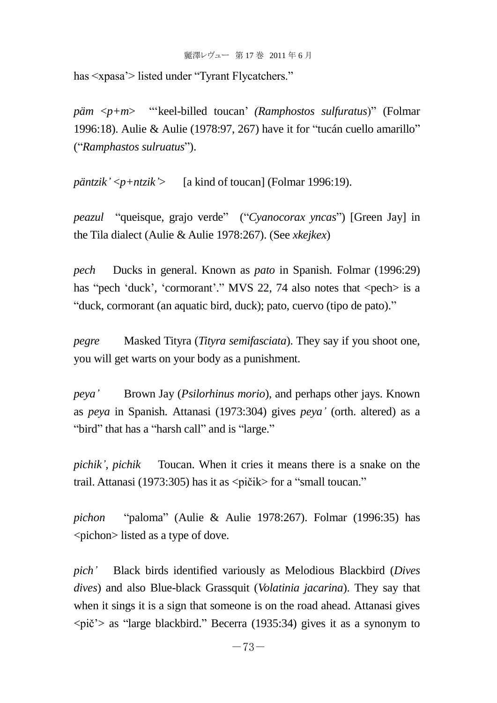has  $\langle x \rangle$  listed under "Tyrant Flycatchers."

*päm*  $\langle p+m \rangle$  "keel-billed toucan' *(Ramphostos sulfuratus*)" *(Folmar* 1996:18). Aulie & Aulie (1978:97, 267) have it for "tucán cuello amarillo" (―*Ramphastos sulruatus*‖).

*päntzik'* <*p+ntzik'*> [a kind of toucan] (Folmar 1996:19).

*peazul* "queisque, grajo verde" ("Cyanocorax yncas") [Green Jay] in the Tila dialect (Aulie & Aulie 1978:267). (See *xkejkex*)

*pech* Ducks in general. Known as *pato* in Spanish. Folmar (1996:29) has "pech 'duck', 'cormorant'." MVS 22, 74 also notes that  $\langle$  pech  $>$  is a "duck, cormorant (an aquatic bird, duck); pato, cuervo (tipo de pato)."

*pegre* Masked Tityra (*Tityra semifasciata*). They say if you shoot one, you will get warts on your body as a punishment.

*peya'* Brown Jay (*Psilorhinus morio*), and perhaps other jays. Known as *peya* in Spanish. Attanasi (1973:304) gives *peya'* (orth. altered) as a "bird" that has a "harsh call" and is "large."

*pichik', pichik* Toucan. When it cries it means there is a snake on the trail. Attanasi (1973:305) has it as  $\langle$  pičik $\rangle$  for a "small toucan."

*pichon* "paloma" (Aulie & Aulie 1978:267). Folmar (1996:35) has <pichon> listed as a type of dove.

*pich'* Black birds identified variously as Melodious Blackbird (*Dives dives*) and also Blue-black Grassquit (*Volatinia jacarina*). They say that when it sings it is a sign that someone is on the road ahead. Attanasi gives  $\langle \pi \rangle$  as "large blackbird." Becerra (1935:34) gives it as a synonym to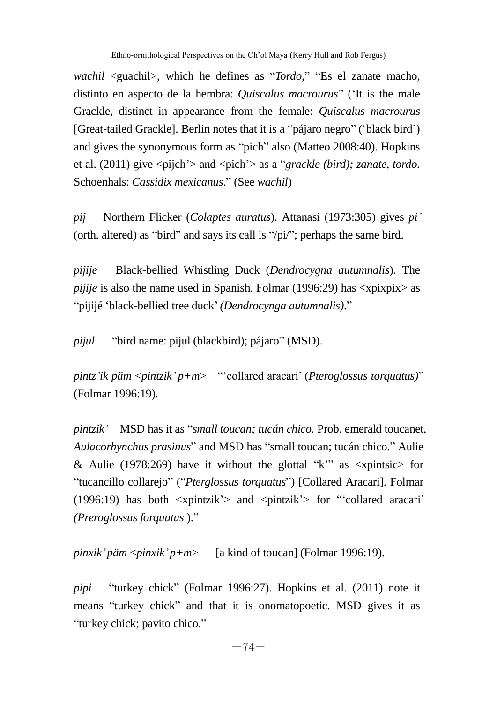*wachil* <guachil>, which he defines as "*Tordo*," "Es el zanate macho, distinto en aspecto de la hembra: *Quiscalus macrourus*‖ (‗It is the male Grackle, distinct in appearance from the female: *Quiscalus macrourus* [Great-tailed Grackle]. Berlin notes that it is a "pájaro negro" ('black bird') and gives the synonymous form as "pich" also (Matteo 2008:40). Hopkins et al.  $(2011)$  give  $\langle$ pijch' $\rangle$  and  $\langle$ pich' $\rangle$  as a "*grackle (bird); zanate, tordo.* Schoenhals: *Cassidix mexicanus*.‖ (See *wachil*)

*pij* Northern Flicker (*Colaptes auratus*). Attanasi (1973:305) gives *pi'* (orth. altered) as "bird" and says its call is " $\pi$ "; perhaps the same bird.

*pijije* Black-bellied Whistling Duck (*Dendrocygna autumnalis*). The *pijije* is also the name used in Spanish. Folmar (1996:29) has  $\langle x$  x pixpix as "pijijé 'black-bellied tree duck' *(Dendrocynga autumnalis)*."

*pijul* "bird name: pijul (blackbird); pájaro" (MSD).

*pintz'ik päm* <*pintzik' p+m*> "collared aracari' (*Pteroglossus torquatus*)" (Folmar 1996:19).

*pintzik'* MSD has it as "*small toucan; tucán chico*. Prob. emerald toucanet, *Aulacorhynchus prasinus*" and MSD has "small toucan; tucán chico." Aulie & Aulie (1978:269) have it without the glottal " $k$ " as <xpintsic for ―tucancillo collarejo‖ (―*Pterglossus torquatus*‖) [Collared Aracari]. Folmar (1996:19) has both  $\langle x$ pintzik' $\rangle$  and  $\langle$ pintzik' $\rangle$  for "collared aracari' *(Preroglossus forquutus* ).‖

*pinxik'päm* <*pinxik'p+m*> [a kind of toucan] (Folmar 1996:19).

*pipi* "turkey chick" (Folmar 1996:27). Hopkins et al. (2011) note it means "turkey chick" and that it is onomatopoetic. MSD gives it as "turkey chick; pavito chico."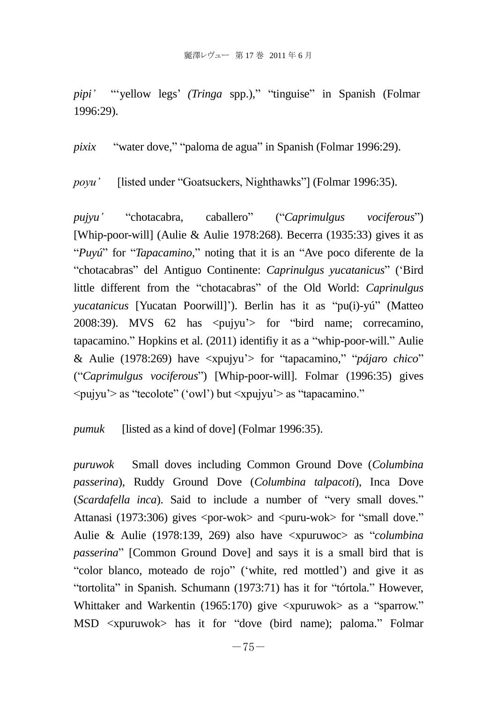*pipi'* "vellow legs' *(Tringa spp.)*," "tinguise" in Spanish (Folmar 1996:29).

*pixix* "water dove," "paloma de agua" in Spanish (Folmar 1996:29).

*poyu'* [listed under "Goatsuckers, Nighthawks"] (Folmar 1996:35).

*pujyu'* ―chotacabra, caballero‖ (―*Caprimulgus vociferous*‖) [Whip-poor-will] (Aulie & Aulie 1978:268). Becerra (1935:33) gives it as "Puyú" for "*Tapacamino*," noting that it is an "Ave poco diferente de la ―chotacabras‖ del Antiguo Continente: *Caprinulgus yucatanicus*‖ (‗Bird little different from the "chotacabras" of the Old World: *Caprinulgus yucatanicus* [Yucatan Poorwill]'). Berlin has it as "pu(i)-yú" (Matteo 2008:39). MVS  $62$  has  $\langle \text{pujvu} \rangle$  for "bird name; correcamino,  $t$ apacamino." Hopkins et al. (2011) identifiy it as a "whip-poor-will." Aulie & Aulie (1978:269) have  $\langle x, y \rangle$  for "tapacamino," "*pájaro chico*" (―*Caprimulgus vociferous*‖) [Whip-poor-will]. Folmar (1996:35) gives  $\langle \text{pujyu'} \rangle$  as "tecolote" ('owl') but  $\langle \text{pujyu'} \rangle$  as "tapacamino."

*pumuk* [listed as a kind of dove] (Folmar 1996:35).

*puruwok* Small doves including Common Ground Dove (*Columbina passerina*), Ruddy Ground Dove (*Columbina talpacoti*), Inca Dove (*Scardafella inca*). Said to include a number of "very small doves." Attanasi (1973:306) gives  $\langle \text{por-wok}\rangle$  and  $\langle \text{puru-wok}\rangle$  for "small dove." Aulie & Aulie (1978:139, 269) also have <xpuruwoc> as "*columbina passerina*" [Common Ground Dove] and says it is a small bird that is "color blanco, moteado de rojo" ('white, red mottled') and give it as "tortolita" in Spanish, Schumann (1973:71) has it for "tórtola." However, Whittaker and Warkentin (1965:170) give  $\langle x$  survay as a "sparrow." MSD <xpuruwok> has it for "dove (bird name); paloma." Folmar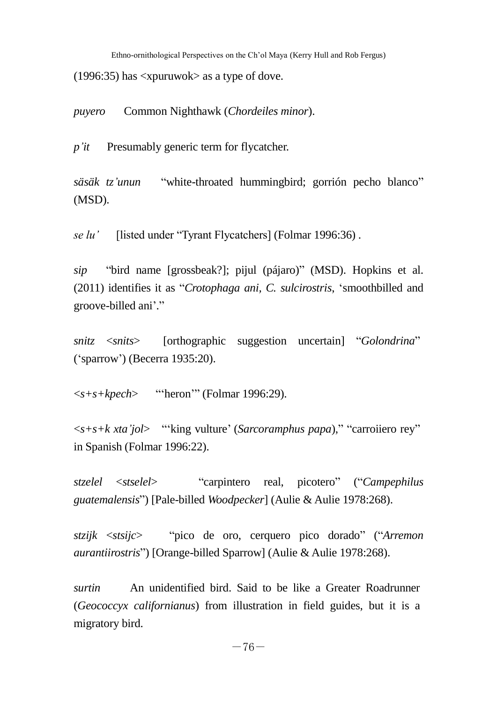Ethno-ornithological Perspectives on the Ch'ol Maya (Kerry Hull and Rob Fergus)

(1996:35) has <xpuruwok> as a type of dove.

*puyero* Common Nighthawk (*Chordeiles minor*).

*p'it* Presumably generic term for flycatcher.

*säsäk tz'unun* 
"white-throated hummingbird; gorrión pecho blanco" (MSD).

*se lu'* [listed under "Tyrant Flycatchers] (Folmar 1996:36).

*sip* "bird name [grossbeak?]; pijul (pájaro)" (MSD). Hopkins et al. (2011) identifies it as "*Crotophaga ani, C. sulcirostris*, 'smoothbilled and groove-billed ani'."

*snitz*  $\langle$ *snits*> [orthographic suggestion uncertain] "*Golondrina*" (‗sparrow') (Becerra 1935:20).

 $\langle$ s+s+kpech> 

"heron" (Folmar 1996:29).

 $\langle$ s+s+k xta'jol> 
"king vulture' (*Sarcoramphus papa*)," "carroiiero rey" in Spanish (Folmar 1996:22).

*stzelel* <*stselel*> ―carpintero real, picotero‖ (―*Campephilus guatemalensis*‖) [Pale-billed *Woodpecker*] (Aulie & Aulie 1978:268).

*stzijk* <*stsijc*> ―pico de oro, cerquero pico dorado‖ (―*Arremon aurantiirostris*") [Orange-billed Sparrow] (Aulie & Aulie 1978:268).

*surtin* An unidentified bird. Said to be like a Greater Roadrunner (*Geococcyx californianus*) from illustration in field guides, but it is a migratory bird.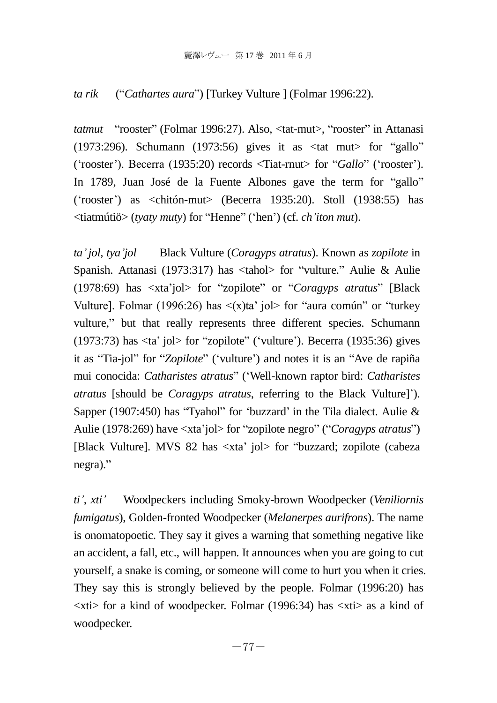## *ta rik* ("*Cathartes aura*") [Turkey Vulture ] (Folmar 1996:22).

*tatmut* "rooster" (Folmar 1996:27). Also, <tat-mut>, "rooster" in Attanasi  $(1973:296)$ . Schumann  $(1973:56)$  gives it as  $\lt$  tat mut for "gallo" ('rooster'). Becerra (1935:20) records <Tiat-rnut> for "*Gallo*" ('rooster'). In 1789, Juan José de la Fuente Albones gave the term for "gallo" (‗rooster') as <chitón-mut> (Becerra 1935:20). Stoll (1938:55) has <tiatmútiö> (*tyaty muty*) for ―Henne‖ (‗hen') (cf. *ch'iton mut*).

*ta'jol, tya'jol* Black Vulture (*Coragyps atratus*). Known as *zopilote* in Spanish. Attanasi (1973:317) has  $\lt$ tahol> for "vulture." Aulie & Aulie (1978:69) has  $\langle x \rangle$  and  $\langle y \rangle$  for "zopilote" or "*Coragyps atratus*" [Black] Vulturel. Folmar (1996:26) has  $\langle x \rangle$  ta' jol for "aura común" or "turkey" vulture," but that really represents three different species. Schumann  $(1973:73)$  has  $\langle \text{ta}' \text{iol}\rangle$  for "zopilote" ('vulture'). Becerra (1935:36) gives it as "Tia-jol" for "Zopilote" ('vulture') and notes it is an "Ave de rapiña mui conocida: *Catharistes atratus*‖ (‗Well-known raptor bird: *Catharistes atratus* [should be *Coragyps atratus*, referring to the Black Vulture]'). Sapper (1907:450) has "Tyahol" for 'buzzard' in the Tila dialect. Aulie  $\&$ Aulie (1978:269) have <xta'jol> for "zopilote negro" ("*Coragyps atratus*") [Black Vulture]. MVS 82 has <xta' jol> for "buzzard; zopilote (cabeza negra)."

*ti'*, *xti'* Woodpeckers including Smoky-brown Woodpecker (*Veniliornis fumigatus*), Golden-fronted Woodpecker (*Melanerpes aurifrons*). The name is onomatopoetic. They say it gives a warning that something negative like an accident, a fall, etc., will happen. It announces when you are going to cut yourself, a snake is coming, or someone will come to hurt you when it cries. They say this is strongly believed by the people. Folmar (1996:20) has  $\langle x \text{t} \rangle$  for a kind of woodpecker. Folmar (1996:34) has  $\langle x \text{t} \rangle$  as a kind of woodpecker.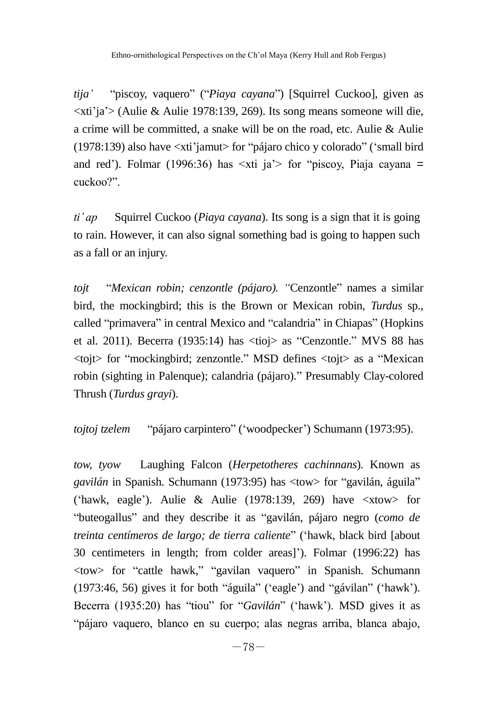*tija'* "piscoy, vaquero" ("*Piaya cayana*") [Squirrel Cuckoo], given as  $\langle x \rangle$  and  $\langle x \rangle$  (Aulie & Aulie 1978:139, 269). Its song means someone will die, a crime will be committed, a snake will be on the road, etc. Aulie & Aulie (1978:139) also have  $\langle x^2 \rangle$  and  $\langle x^2 \rangle$  for "pájaro chico y colorado" (small bird and red'). Folmar (1996:36) has  $\leq x$ ti ja $\geq$  for "piscoy, Piaja cayana = cuckoo?".

*ti' ap* Squirrel Cuckoo (*Piaya cayana*). Its song is a sign that it is going to rain. However, it can also signal something bad is going to happen such as a fall or an injury.

*toit "Mexican robin: cenzontle (pájaro). "Cenzontle" names a similar* bird, the mockingbird; this is the Brown or Mexican robin, *Turdus* sp., called "primavera" in central Mexico and "calandria" in Chiapas" (Hopkins et al. 2011). Becerra (1935:14) has  $\langle \text{tioi} \rangle$  as "Cenzontle." MVS 88 has  $\lt$ tojt $>$  for "mockingbird; zenzontle." MSD defines  $\lt$ tojt $>$  as a "Mexican robin (sighting in Palenque); calandria (pájaro)." Presumably Clay-colored Thrush (*Turdus grayi*).

*tojtoj tzelem* "pájaro carpintero" ('woodpecker') Schumann (1973:95).

*tow, tyow* Laughing Falcon (*Herpetotheres cachinnans*). Known as *gavilán* in Spanish. Schumann (1973:95) has  $\langle$ tow> for "gavilán, águila" ('hawk, eagle'). Aulie & Aulie (1978:139, 269) have  $\langle x$ tow $\rangle$  for ―buteogallus‖ and they describe it as ―gavilán, pájaro negro (*como de treinta centímeros de largo; de tierra caliente*‖ (‗hawk, black bird [about 30 centimeters in length; from colder areas]'). Folmar (1996:22) has <tow> for ―cattle hawk,‖ ―gavilan vaquero‖ in Spanish. Schumann  $(1973:46, 56)$  gives it for both "águila" ('eagle') and "gávilan" ('hawk'). Becerra (1935:20) has "tiou" for "*Gavilán*" ('hawk'). MSD gives it as ―pájaro vaquero, blanco en su cuerpo; alas negras arriba, blanca abajo,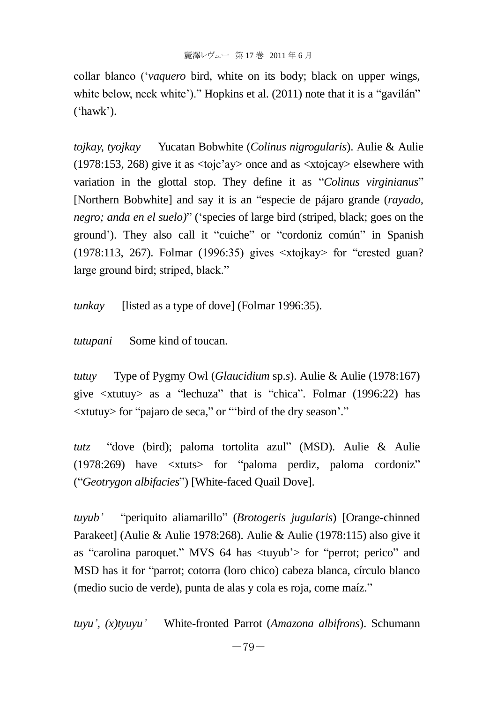collar blanco (‗*vaquero* bird, white on its body; black on upper wings, white below, neck white')." Hopkins et al.  $(2011)$  note that it is a "gavilán"  $('hawk').$ 

*tojkay, tyojkay* Yucatan Bobwhite (*Colinus nigrogularis*). Aulie & Aulie (1978:153, 268) give it as <tojc'ay> once and as <xtojcay> elsewhere with variation in the glottal stop. They define it as "*Colinus virginianus*" [Northern Bobwhite] and say it is an "especie de pájaro grande (*rayado*, *negro; anda en el suelo)*" ('species of large bird (striped, black; goes on the ground'). They also call it "cuiche" or "cordoniz común" in Spanish  $(1978:113, 267)$ . Folmar  $(1996:35)$  gives  $\langle x \rangle$  at  $\langle x \rangle$  for "crested guan? large ground bird; striped, black."

*tunkay* [listed as a type of dove] (Folmar 1996:35).

*tutupani* Some kind of toucan.

*tutuy* Type of Pygmy Owl (*Glaucidium* sp.*s*). Aulie & Aulie (1978:167) give  $\langle$ xtutuy> as a "lechuza" that is "chica". Folmar (1996:22) has  $\langle$ xtutuy> for "pajaro de seca," or ""bird of the dry season'."

*tutz* "dove (bird); paloma tortolita azul" (MSD). Aulie & Aulie  $(1978:269)$  have  $\lt$ xtuts for "paloma perdiz, paloma cordoniz" (―*Geotrygon albifacies*‖) [White-faced Quail Dove].

*tuyub'* ―periquito aliamarillo‖ (*Brotogeris jugularis*) [Orange-chinned Parakeet] (Aulie & Aulie 1978:268). Aulie & Aulie (1978:115) also give it as "carolina paroquet." MVS 64 has  $\langle$ tuyub' $\rangle$  for "perrot; perico" and MSD has it for "parrot; cotorra (loro chico) cabeza blanca, círculo blanco (medio sucio de verde), punta de alas y cola es roja, come maíz."

*tuyu', (x)tyuyu'* White-fronted Parrot (*Amazona albifrons*). Schumann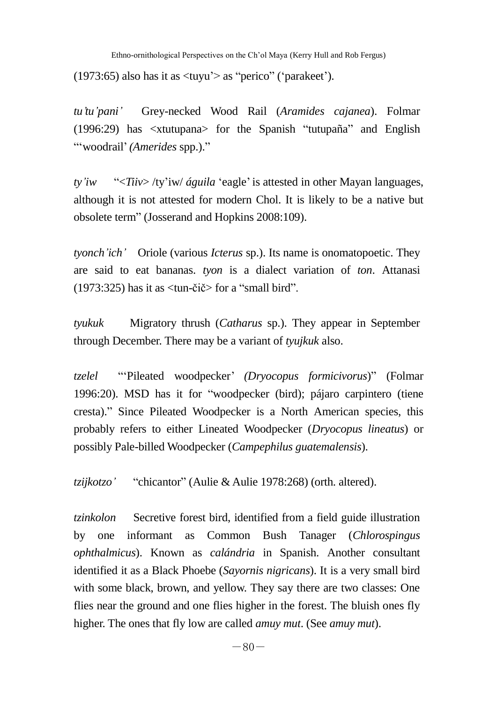(1973:65) also has it as  $\langle$ tuyu' $\rangle$  as "perico" ('parakeet').

*tu'tu'pani'* Grey-necked Wood Rail (*Aramides cajanea*). Folmar  $(1996:29)$  has  $\lt$ xtutupana $\gt$  for the Spanish "tutupaña" and English ―‗woodrail'*(Amerides* spp.).‖

*ty'iw* ―<*Tiiv*> /ty'iw/ *águila* ‗eagle'is attested in other Mayan languages, although it is not attested for modern Chol. It is likely to be a native but obsolete term" (Josserand and Hopkins 2008:109).

*tyonch'ich'* Oriole (various *Icterus* sp.). Its name is onomatopoetic. They are said to eat bananas. *tyon* is a dialect variation of *ton*. Attanasi  $(1973:325)$  has it as  $\langle$ tun-čič $>$  for a "small bird".

*tyukuk* Migratory thrush (*Catharus* sp.). They appear in September through December. There may be a variant of *tyujkuk* also.

*tzelel* ―‗Pileated woodpecker' *(Dryocopus formicivorus*)‖ (Folmar 1996:20). MSD has it for "woodpecker (bird); pájaro carpintero (tiene cresta).‖ Since Pileated Woodpecker is a North American species, this probably refers to either Lineated Woodpecker (*Dryocopus lineatus*) or possibly Pale-billed Woodpecker (*Campephilus guatemalensis*).

*tzijkotzo'* "chicantor" (Aulie & Aulie 1978:268) (orth. altered).

*tzinkolon* Secretive forest bird, identified from a field guide illustration by one informant as Common Bush Tanager (*Chlorospingus ophthalmicus*). Known as *calándria* in Spanish. Another consultant identified it as a Black Phoebe (*Sayornis nigricans*). It is a very small bird with some black, brown, and yellow. They say there are two classes: One flies near the ground and one flies higher in the forest. The bluish ones fly higher. The ones that fly low are called *amuy mut*. (See *amuy mut*).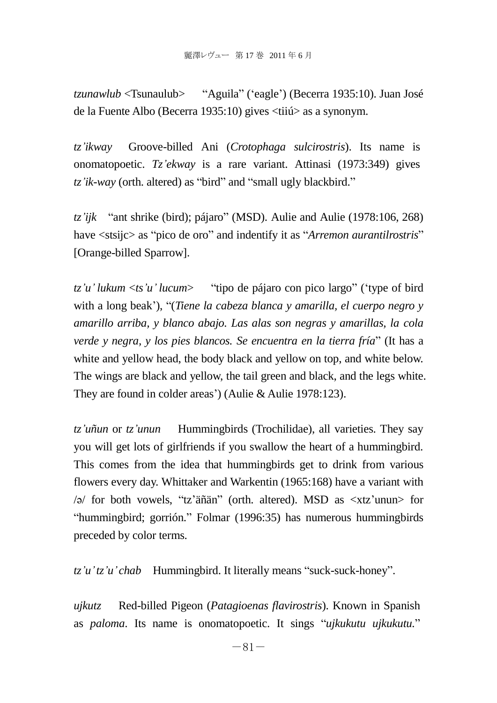*tzunawlub* <Tsunaulub> 
"Aguila" ('eagle') (Becerra 1935:10). Juan José de la Fuente Albo (Becerra 1935:10) gives <tiiú> as a synonym.

*tz'ikway* Groove-billed Ani (*Crotophaga sulcirostris*). Its name is onomatopoetic. *Tz'ekway* is a rare variant. Attinasi (1973:349) gives *tz'ik-way* (orth. altered) as "bird" and "small ugly blackbird."

*tz'ijk* "ant shrike (bird); pájaro" (MSD). Aulie and Aulie (1978:106, 268) have  $\langle$ stsijc $\rangle$  as "pico de oro" and indentify it as "*Arremon aurantilrostris*" [Orange-billed Sparrow].

 $tz'u'$  *lukum*  $\lt$ *ts'u' lucum*> — "tipo de pájaro con pico largo" ('type of bird with a long beak'), "*(Tiene la cabeza blanca y amarilla, el cuerpo negro y v amarillo arriba, y blanco abajo. Las alas son negras y amarillas, la cola verde y negra, y los pies blancos. Se encuentra en la tierra fría*" (It has a white and yellow head, the body black and yellow on top, and white below. The wings are black and yellow, the tail green and black, and the legs white. They are found in colder areas') (Aulie & Aulie 1978:123).

*tz'uñun* or *tz'unun* Hummingbirds (Trochilidae), all varieties. They say you will get lots of girlfriends if you swallow the heart of a hummingbird. This comes from the idea that hummingbirds get to drink from various flowers every day. Whittaker and Warkentin (1965:168) have a variant with  $\sqrt{a}$  for both vowels, "tz'äñän" (orth. altered). MSD as  $\langle x \rangle$ tz'unun $>$  for ―hummingbird; gorrión.‖ Folmar (1996:35) has numerous hummingbirds preceded by color terms.

*tz'u'tz'u' chab* Hummingbird. It literally means "suck-suck-honey".

*ujkutz* Red-billed Pigeon (*Patagioenas flavirostris*). Known in Spanish as *paloma*. Its name is onomatopoetic. It sings "ujkukutu ujkukutu."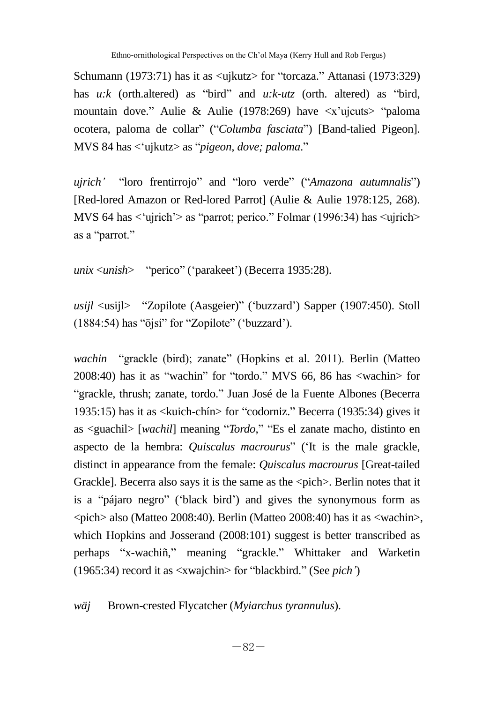Schumann (1973:71) has it as  $\langle$ uikutz $>$  for "torcaza." Attanasi (1973:329) has  $u:k$  (orth.altered) as "bird" and  $u:k-utz$  (orth. altered) as "bird, mountain dove." Aulie & Aulie (1978:269) have  $\langle x \rangle$  and  $\langle y \rangle$  and  $\langle x \rangle$  and  $\langle y \rangle$ ocotera, paloma de collar" ("Columba fasciata") [Band-talied Pigeon]. MVS 84 has  $\langle$  ujkutz> as "*pigeon, dove; paloma.*"

uirich' "loro frentirrojo" and "loro verde" ("Amazona autumnalis") [Red-lored Amazon or Red-lored Parrot] (Aulie & Aulie 1978:125, 268). MVS 64 has  $\langle$ ujrich' $>$  as "parrot; perico." Folmar (1996:34) has  $\langle$ ujrich $>$ as a "parrot."

*unix* <*unish*> "perico" ('parakeet') (Becerra 1935:28).

usijl <usijl> 
"Zopilote (Aasgeier)" ('buzzard') Sapper (1907:450). Stoll  $(1884:54)$  has "öjsí" for "Zopilote" ('buzzard').

*wachin* "grackle (bird); zanate" (Hopkins et al. 2011). Berlin (Matteo  $2008:40$ ) has it as "wachin" for "tordo." MVS 66, 86 has  $\langle$ wachin $\rangle$  for ―grackle, thrush; zanate, tordo.‖ Juan José de la Fuente Albones (Becerra 1935:15) has it as  $\langle$ kuich-chín $>$  for "codorniz." Becerra (1935:34) gives it as <guachil> [*wachil*] meaning "*Tordo*," "Es el zanate macho, distinto en aspecto de la hembra: *Quiscalus macrourus*" ('It is the male grackle, distinct in appearance from the female: *Quiscalus macrourus* [Great-tailed Grackle]. Becerra also says it is the same as the  $\langle$ pich $\rangle$ . Berlin notes that it is a "pájaro negro" ('black bird') and gives the synonymous form as <pich> also (Matteo 2008:40). Berlin (Matteo 2008:40) has it as <wachin>, which Hopkins and Josserand (2008:101) suggest is better transcribed as perhaps "x-wachiñ," meaning "grackle." Whittaker and Warketin (1965:34) record it as <xwajchin> for "blackbird." (See *pich'*)

*wäj* Brown-crested Flycatcher (*Myiarchus tyrannulus*).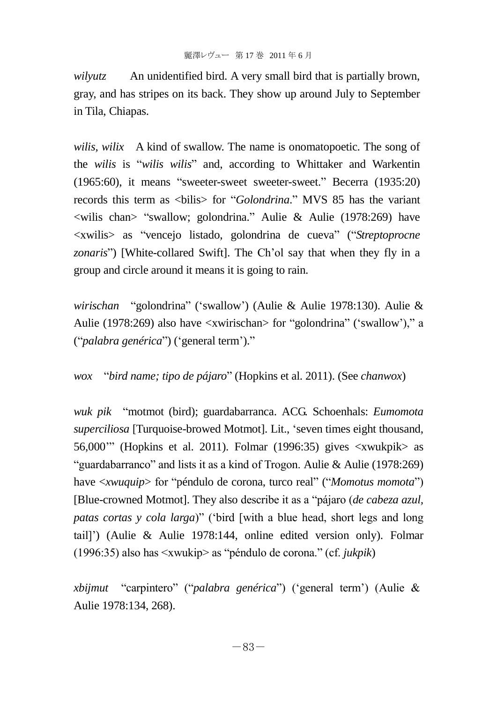*wilvutz* An unidentified bird. A very small bird that is partially brown, gray, and has stripes on its back. They show up around July to September in Tila, Chiapas.

*wilis, wilix* A kind of swallow. The name is onomatopoetic. The song of the *wilis* is "*wilis wilis*" and, according to Whittaker and Warkentin  $(1965:60)$ , it means "sweeter-sweet sweeter-sweet." Becerra  $(1935:20)$ records this term as  $\langle$ bilis $\rangle$  for "*Golondrina*." MVS 85 has the variant <wilis chan> "swallow; golondrina." Aulie & Aulie (1978:269) have <xwilis> as ―vencejo listado, golondrina de cueva‖ (―*Streptoprocne zonaris*‖) [White-collared Swift]. The Ch'ol say that when they fly in a group and circle around it means it is going to rain.

wirischan "golondrina" ('swallow') (Aulie & Aulie 1978:130). Aulie & Aulie (1978:269) also have  $\langle x$ wirischan $\rangle$  for "golondrina" ('swallow')," a ("*palabra genérica*") ('general term')."

*wox* ―*bird name; tipo de pájaro*‖ (Hopkins et al. 2011). (See *chanwox*)

*wuk pik* ―motmot (bird); guardabarranca. ACG. Schoenhals: *Eumomota superciliosa* [Turquoise-browed Motmot]. Lit., ‗seven times eight thousand, 56,000" (Hopkins et al. 2011). Folmar (1996:35) gives  $\langle xwukpik \rangle$  as "guardabarranco" and lists it as a kind of Trogon. Aulie & Aulie (1978:269) have  $\langle xwuquip \rangle$  for "péndulo de corona, turco real" ("*Momotus momota*") [Blue-crowned Motmot]. They also describe it as a "pájaro (*de cabeza azul*, *patas cortas y cola larga*)" ('bird [with a blue head, short legs and long tail]') (Aulie & Aulie 1978:144, online edited version only). Folmar (1996:35) also has  $\langle x \rangle$  xwukip as "péndulo de corona." (cf. *jukpik*)

*xbijmut* "carpintero" ("*palabra genérica*") ('general term') (Aulie & Aulie 1978:134, 268).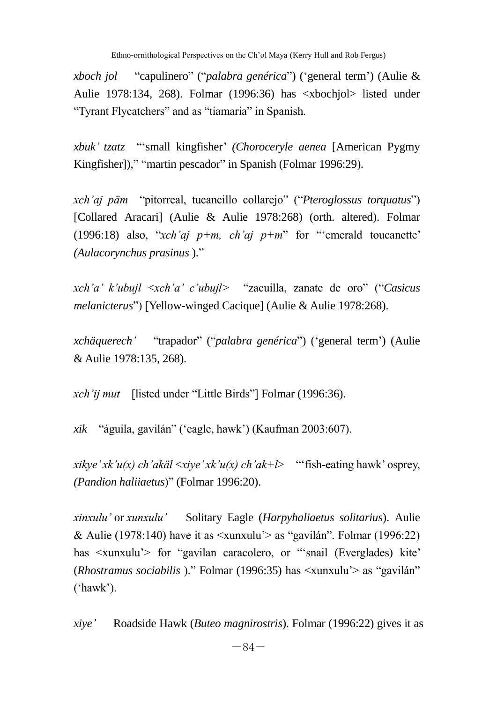*xboch jol* "capulinero" ("*palabra genérica*") ('general term') (Aulie & Aulie 1978:134, 268). Folmar (1996:36) has <xbochjol> listed under "Tyrant Flycatchers" and as "tiamaria" in Spanish.

*xbuk' tzatz* ―‗small kingfisher' *(Choroceryle aenea* [American Pygmy Kingfisher])," "martin pescador" in Spanish (Folmar 1996:29).

*xch'aj päm* "pitorreal, tucancillo collarejo" ("*Pteroglossus torquatus*") [Collared Aracari] (Aulie & Aulie 1978:268) (orth. altered). Folmar (1996:18) also, "*xch'aj p+m, ch'aj p+m*" for "emerald toucanette" *(Aulacorynchus prasinus* ).‖

*xch'a' k'ubujl* <*xch'a' c'ubujl>* ―zacuilla, zanate de oro‖ (―*Casicus melanicterus*") [Yellow-winged Cacique] (Aulie & Aulie 1978:268).

*xchäquerech'* ―trapador‖ (―*palabra genérica*‖) (‗general term') (Aulie & Aulie 1978:135, 268).

*xch'ij mut* [listed under "Little Birds"] Folmar (1996:36).

*xik* ―águila, gavilán‖ (‗eagle, hawk') (Kaufman 2003:607).

 $xikve' xk'u(x)$  *ch'akäl*  $\langle xiv e' xk'u(x)$  *ch'ak+l>* "fish-eating hawk' osprey, *(Pandion haliiaetus*)‖ (Folmar 1996:20).

*xinxulu'* or *xunxulu'* Solitary Eagle (*Harpyhaliaetus solitarius*). Aulie & Aulie (1978:140) have it as  $\langle x \rangle$  as "gavilán". Folmar (1996:22) has <xunxulu'> for "gavilan caracolero, or "'snail (Everglades) kite' (*Rhostramus sociabilis* )." Folmar (1996:35) has  $\langle \text{xunxulu'} \rangle$  as "gavilán"  $('hawk')$ .

*xiye'* Roadside Hawk (*Buteo magnirostris*). Folmar (1996:22) gives it as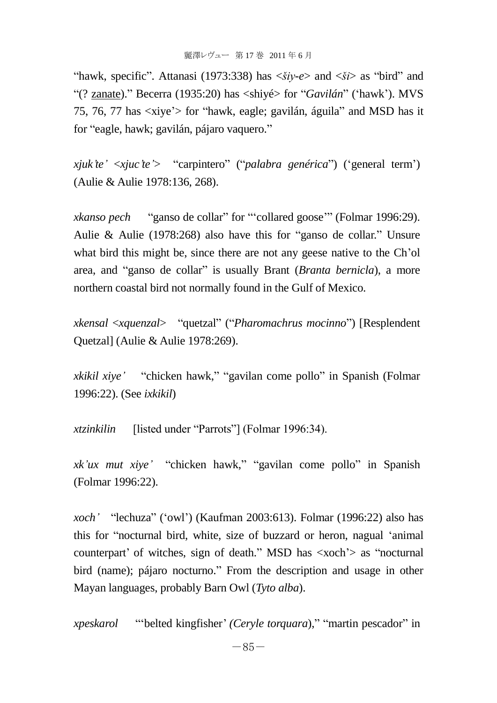"hawk, specific". Attanasi (1973:338) has  $\langle \xi i \rangle - e$  and  $\langle \xi i \rangle$  as "bird" and ―(? zanate).‖ Becerra (1935:20) has <shiyé> for ―*Gavilán*‖ (‗hawk'). MVS 75, 76, 77 has  $\langle x \rangle$  for "hawk, eagle; gavilán, águila" and MSD has it for "eagle, hawk; gavilán, pájaro vaquero."

*xjuk'te'* <*xjuc'te'*> "carpintero" ("*palabra genérica*") ('general term') (Aulie & Aulie 1978:136, 268).

*xkanso pech* "ganso de collar" for "collared goose" (Folmar 1996:29). Aulie & Aulie (1978:268) also have this for "ganso de collar." Unsure what bird this might be, since there are not any geese native to the Ch'ol area, and "ganso de collar" is usually Brant *(Branta bernicla)*, a more northern coastal bird not normally found in the Gulf of Mexico.

*xkensal* <*xquenzal*> ―quetzal‖ (―*Pharomachrus mocinno*‖) [Resplendent Quetzal] (Aulie & Aulie 1978:269).

*xkikil xiye'* "chicken hawk," "gavilan come pollo" in Spanish (Folmar 1996:22). (See *ixkikil*)

*xtzinkilin* [listed under "Parrots"] (Folmar 1996:34).

*xk'ux mut xiye'* "chicken hawk," "gavilan come pollo" in Spanish (Folmar 1996:22).

*xoch'* "lechuza" ('owl') (Kaufman 2003:613). Folmar (1996:22) also has this for "nocturnal bird, white, size of buzzard or heron, nagual 'animal counterpart' of witches, sign of death." MSD has  $\langle x, \text{oc} \rangle$  as "nocturnal" bird (name); pájaro nocturno." From the description and usage in other Mayan languages, probably Barn Owl (*Tyto alba*).

*xpeskarol* ―‗belted kingfisher' *(Ceryle torquara*),‖ ―martin pescador‖ in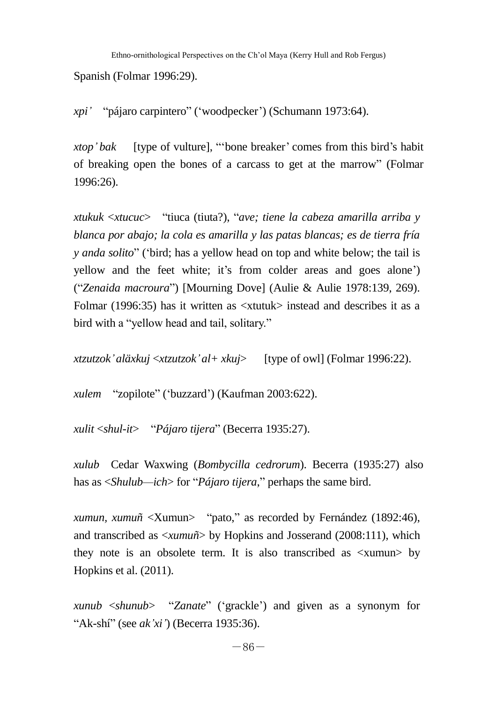Ethno-ornithological Perspectives on the Ch'ol Maya (Kerry Hull and Rob Fergus)

Spanish (Folmar 1996:29).

*xpi'* "pájaro carpintero" ('woodpecker') (Schumann 1973:64).

*xtop' bak* [type of vulture], "bone breaker' comes from this bird's habit of breaking open the bones of a carcass to get at the marrow‖ (Folmar 1996:26).

*xtukuk* <*xtucuc*> ―tiuca (tiuta?), ―*ave; tiene la cabeza amarilla arriba y blanca por abajo; la cola es amarilla y las patas blancas; es de tierra fría y anda solito*" ('bird; has a yellow head on top and white below; the tail is yellow and the feet white; it's from colder areas and goes alone') (―*Zenaida macroura*‖) [Mourning Dove] (Aulie & Aulie 1978:139, 269). Folmar (1996:35) has it written as <xtutuk> instead and describes it as a bird with a "vellow head and tail, solitary."

*xtzutzok'aläxkuj* <*xtzutzok'al+ xkuj*> [type of owl] (Folmar 1996:22).

*xulem* "zopilote" ('buzzard') (Kaufman 2003:622).

*xulit* <*shul-it*> ―*Pájaro tijera*‖ (Becerra 1935:27).

*xulub* Cedar Waxwing (*Bombycilla cedrorum*). Becerra (1935:27) also has as  $\le$ *Shulub—ich*> for "*Pájaro tijera*," perhaps the same bird.

*xumun, xumuñ* <Xumun> "pato," as recorded by Fernández (1892:46), and transcribed as <*xumuñ*> by Hopkins and Josserand (2008:111), which they note is an obsolete term. It is also transcribed as <xumun> by Hopkins et al. (2011).

*xunub* <*shunub*> ―*Zanate*‖ (‗grackle') and given as a synonym for "Ak-shí" (see *ak'xi'*) (Becerra 1935:36).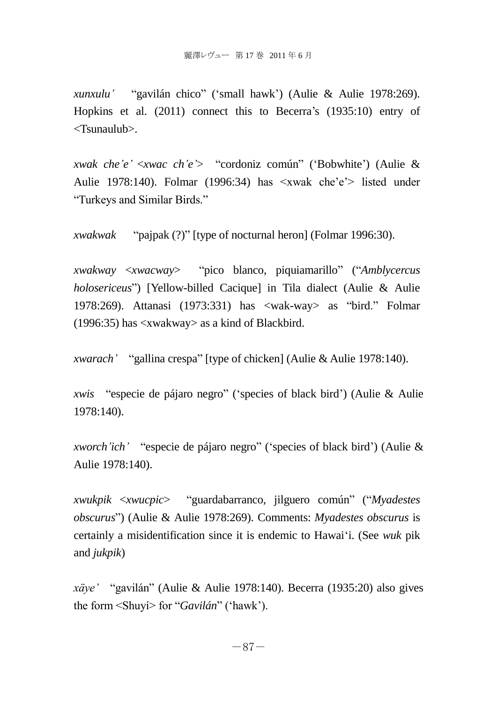*xunxulu'* "gavilán chico" ('small hawk') (Aulie & Aulie 1978:269). Hopkins et al. (2011) connect this to Becerra's (1935:10) entry of <Tsunaulub>.

*xwak che'e'* <*xwac ch'e'* > "cordoniz común" ('Bobwhite') (Aulie & Aulie 1978:140). Folmar (1996:34) has <xwak che'e'> listed under "Turkeys and Similar Birds."

*xwakwak* 
"pajpak (?)" [type of nocturnal heron] (Folmar 1996:30).

*xwakway* <*xwacway*> ―pico blanco, piquiamarillo‖ (―*Amblycercus holosericeus*") [Yellow-billed Cacique] in Tila dialect (Aulie & Aulie 1978:269). Attanasi (1973:331) has  $\langle wak-wa \rangle$  as "bird." Folmar (1996:35) has <xwakway> as a kind of Blackbird.

*xwarach'* "gallina crespa" [type of chicken] (Aulie & Aulie 1978:140).

*xwis* "especie de pájaro negro" ('species of black bird') (Aulie & Aulie 1978:140).

*xworch'ich'* "especie de pájaro negro" ('species of black bird') (Aulie & Aulie 1978:140).

*xwukpik* <*xwucpic*> ―guardabarranco, jilguero común‖ (―*Myadestes obscurus*‖) (Aulie & Aulie 1978:269). Comments: *Myadestes obscurus* is certainly a misidentification since it is endemic to Hawai‗i. (See *wuk* pik and *jukpik*)

*xäye'* "gavilán" (Aulie & Aulie 1978:140). Becerra (1935:20) also gives the form <Shuví> for "*Gavilán*" ('hawk').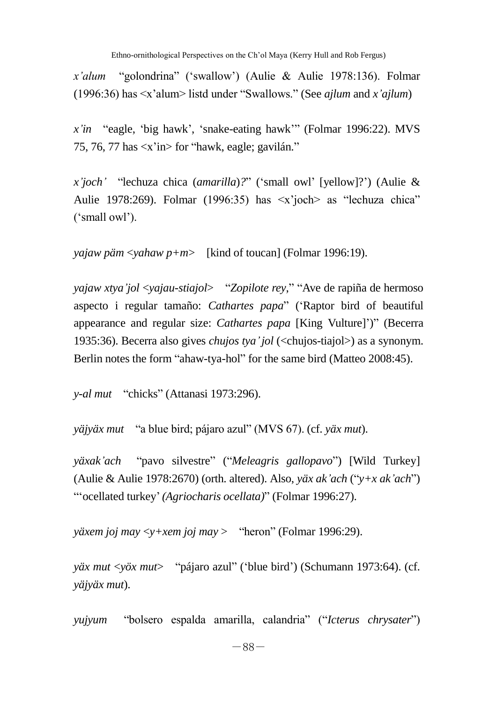*x'alum* "golondrina" ('swallow') (Aulie & Aulie 1978:136). Folmar (1996:36) has <x'alum> listd under ―Swallows.‖ (See *ajlum* and *x'ajlum*)

*x'in* "eagle, 'big hawk', 'snake-eating hawk'" (Folmar 1996:22). MVS 75, 76, 77 has  $\langle x \rangle$  in for "hawk, eagle; gavilán."

*x'joch'* ―lechuza chica (*amarilla*)*?*‖ (‗small owl' [yellow]?') (Aulie & Aulie 1978:269). Folmar (1996:35) has  $\langle x \rangle$  joch as "lechuza chica" ('small owl').

*yajaw päm* <*yahaw p+m*> [kind of toucan] (Folmar 1996:19).

*yajaw xtya'jol* <*yajau-stiajol*> ―*Zopilote rey*,‖ ―Ave de rapiña de hermoso aspecto i regular tamaño: *Cathartes papa*‖ (‗Raptor bird of beautiful appearance and regular size: *Cathartes papa* [King Vulture]')" (Becerra 1935:36). Becerra also gives *chujos tya'jol* (<chujos-tiajol>) as a synonym. Berlin notes the form "ahaw-tya-hol" for the same bird (Matteo 2008:45).

*y-al mut* "chicks" (Attanasi 1973:296).

*yäjyäx mut* "a blue bird; pájaro azul" (MVS 67). (cf. *yäx mut*).

*yäxak'ach* "pavo silvestre" ("*Meleagris gallopavo*") [Wild Turkey] (Aulie & Aulie 1978:2670) (orth. altered). Also, *yäx ak'ach* ("*y+x ak'ach*") ―‗ocellated turkey'*(Agriocharis ocellata)*‖ (Folmar 1996:27).

```
yäxem joj may <y+xem joj may > "heron" (Folmar 1996:29).
```
*yäx mut <yöx mut>* "pájaro azul" ('blue bird') (Schumann 1973:64). (cf. *yäjyäx mut*).

*yujyum* ―bolsero espalda amarilla, calandria‖ (―*Icterus chrysater*‖)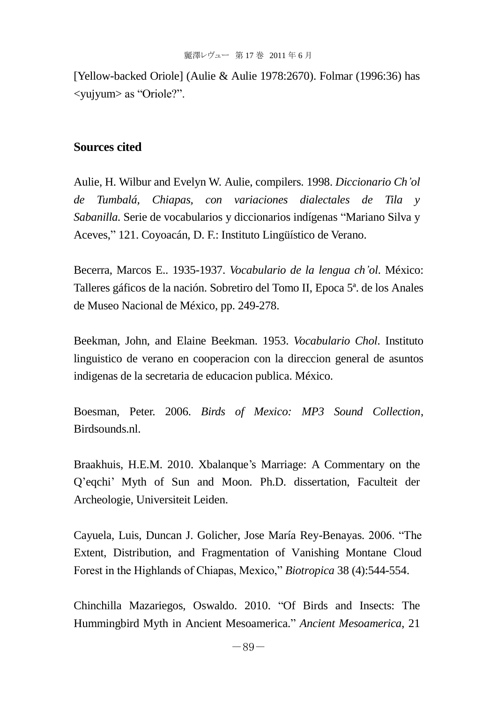[Yellow-backed Oriole] (Aulie & Aulie 1978:2670). Folmar (1996:36) has <yujyum> as ―Oriole?‖.

# **Sources cited**

Aulie, H. Wilbur and Evelyn W. Aulie, compilers. 1998. *Diccionario Ch'ol de Tumbalá, Chiapas, con variaciones dialectales de Tila y Sabanilla*. Serie de vocabularios y diccionarios indígenas "Mariano Silva y Aceves,‖ 121. Coyoacán, D. F.: Instituto Lingüístico de Verano.

Becerra, Marcos E.. 1935-1937. *Vocabulario de la lengua ch'ol*. México: Talleres gáficos de la nación. Sobretiro del Tomo II, Epoca 5ª. de los Anales de Museo Nacional de México, pp. 249-278.

Beekman, John, and Elaine Beekman. 1953. *Vocabulario Chol*. Instituto linguistico de verano en cooperacion con la direccion general de asuntos indigenas de la secretaria de educacion publica. México.

Boesman, Peter. 2006. *Birds of Mexico: MP3 Sound Collection*, Birdsounds.nl.

Braakhuis, H.E.M. 2010. Xbalanque's Marriage: A Commentary on the Q'eqchi' Myth of Sun and Moon. Ph.D. dissertation, Faculteit der Archeologie, Universiteit Leiden.

Cayuela, Luis, Duncan J. Golicher, Jose María Rey-Benayas. 2006. "The Extent, Distribution, and Fragmentation of Vanishing Montane Cloud Forest in the Highlands of Chiapas, Mexico," *Biotropica* 38 (4):544-554.

Chinchilla Mazariegos, Oswaldo. 2010. "Of Birds and Insects: The Hummingbird Myth in Ancient Mesoamerica." *Ancient Mesoamerica*, 21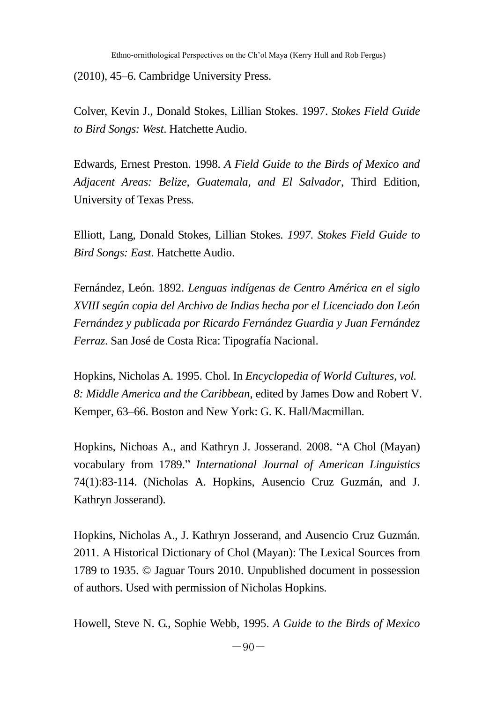(2010), 45–6. Cambridge University Press.

Colver, Kevin J., Donald Stokes, Lillian Stokes. 1997. *Stokes Field Guide to Bird Songs: West*. Hatchette Audio.

Edwards, Ernest Preston. 1998. *A Field Guide to the Birds of Mexico and Adjacent Areas: Belize, Guatemala, and El Salvador*, Third Edition, University of Texas Press.

Elliott, Lang, Donald Stokes, Lillian Stokes. *1997. Stokes Field Guide to Bird Songs: East*. Hatchette Audio.

Fernández, León. 1892. *Lenguas indígenas de Centro América en el siglo XVIII según copia del Archivo de Indias hecha por el Licenciado don León Fernández y publicada por Ricardo Fernández Guardia y Juan Fernández Ferraz*. San José de Costa Rica: Tipografía Nacional.

Hopkins, Nicholas A. 1995. Chol. In *Encyclopedia of World Cultures, vol. 8: Middle America and the Caribbean*, edited by James Dow and Robert V. Kemper, 63–66. Boston and New York: G. K. Hall/Macmillan.

Hopkins, Nichoas A., and Kathryn J. Josserand. 2008. "A Chol (Mayan) vocabulary from 1789.‖ *International Journal of American Linguistics* 74(1):83-114. (Nicholas A. Hopkins, Ausencio Cruz Guzmán, and J. Kathryn Josserand).

Hopkins, Nicholas A., J. Kathryn Josserand, and Ausencio Cruz Guzmán. 2011. A Historical Dictionary of Chol (Mayan): The Lexical Sources from 1789 to 1935. © Jaguar Tours 2010. Unpublished document in possession of authors. Used with permission of Nicholas Hopkins.

Howell, Steve N. G., Sophie Webb, 1995. *A Guide to the Birds of Mexico*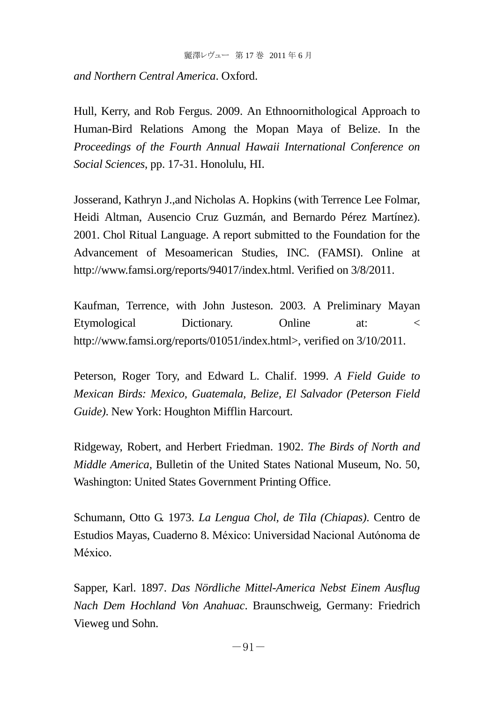*and Northern Central America*. Oxford.

Hull, Kerry, and Rob Fergus. 2009. An Ethnoornithological Approach to Human-Bird Relations Among the Mopan Maya of Belize. In the *Proceedings of the Fourth Annual Hawaii International Conference on Social Sciences*, pp. 17-31. Honolulu, HI.

Josserand, Kathryn J.,and Nicholas A. Hopkins (with Terrence Lee Folmar, Heidi Altman, Ausencio Cruz Guzmán, and Bernardo Pérez Martínez). 2001. Chol Ritual Language. A report submitted to the Foundation for the Advancement of Mesoamerican Studies, INC. (FAMSI). Online at http://www.famsi.org/reports/94017/index.html. Verified on 3/8/2011.

Kaufman, Terrence, with John Justeson. 2003. A Preliminary Mayan Etymological Dictionary. Online at: < http://www.famsi.org/reports/01051/index.html>, verified on  $3/10/2011$ .

Peterson, Roger Tory, and Edward L. Chalif. 1999. *A Field Guide to Mexican Birds: Mexico, Guatemala, Belize, El Salvador (Peterson Field Guide)*. New York: Houghton Mifflin Harcourt.

Ridgeway, Robert, and Herbert Friedman. 1902. *The Birds of North and Middle America*, Bulletin of the United States National Museum, No. 50, Washington: United States Government Printing Office.

Schumann, Otto G. 1973. *La Lengua Chol, de Tila (Chiapas)*. Centro de Estudios Mayas, Cuaderno 8. México: Universidad Nacional Autónoma de México.

Sapper, Karl. 1897. *Das Nördliche Mittel-America Nebst Einem Ausflug Nach Dem Hochland Von Anahuac*. Braunschweig, Germany: Friedrich Vieweg und Sohn.